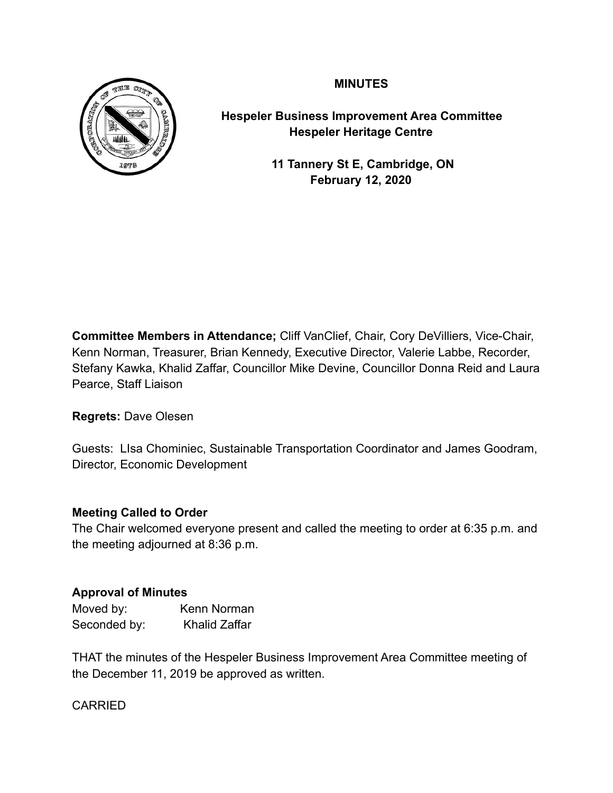# **MINUTES**



**Hespeler Business Improvement Area Committee Hespeler Heritage Centre** 

> **11 Tannery St E, Cambridge, ON February 12, 2020**

**Committee Members in Attendance;** Cliff VanClief, Chair, Cory DeVilliers, Vice-Chair, Kenn Norman, Treasurer, Brian Kennedy, Executive Director, Valerie Labbe, Recorder, Stefany Kawka, Khalid Zaffar, Councillor Mike Devine, Councillor Donna Reid and Laura Pearce, Staff Liaison

**Regrets:** Dave Olesen

Guests: LIsa Chominiec, Sustainable Transportation Coordinator and James Goodram, Director, Economic Development

# **Meeting Called to Order**

The Chair welcomed everyone present and called the meeting to order at 6:35 p.m. and the meeting adjourned at 8:36 p.m.

# **Approval of Minutes**

| Moved by:    | Kenn Norman          |
|--------------|----------------------|
| Seconded by: | <b>Khalid Zaffar</b> |

THAT the minutes of the Hespeler Business Improvement Area Committee meeting of the December 11, 2019 be approved as written.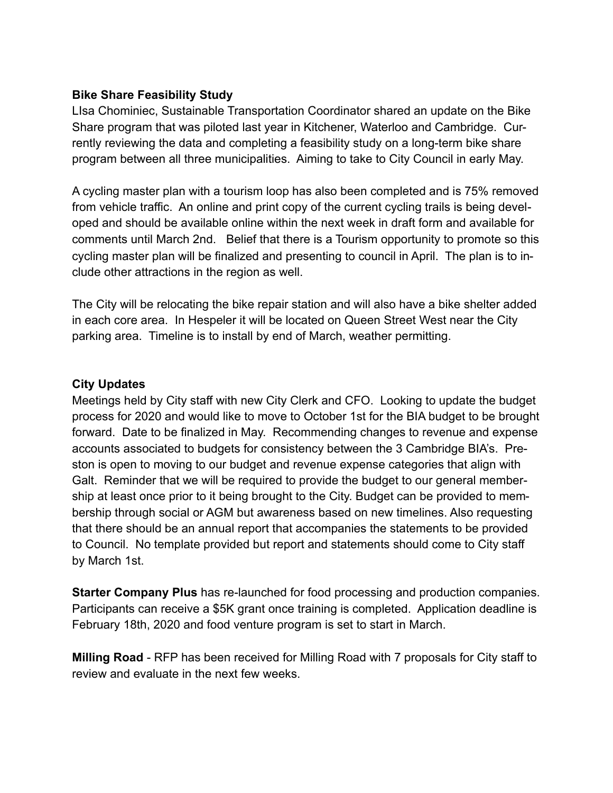# **Bike Share Feasibility Study**

LIsa Chominiec, Sustainable Transportation Coordinator shared an update on the Bike Share program that was piloted last year in Kitchener, Waterloo and Cambridge. Currently reviewing the data and completing a feasibility study on a long-term bike share program between all three municipalities. Aiming to take to City Council in early May.

A cycling master plan with a tourism loop has also been completed and is 75% removed from vehicle traffic. An online and print copy of the current cycling trails is being developed and should be available online within the next week in draft form and available for comments until March 2nd. Belief that there is a Tourism opportunity to promote so this cycling master plan will be finalized and presenting to council in April. The plan is to include other attractions in the region as well.

The City will be relocating the bike repair station and will also have a bike shelter added in each core area. In Hespeler it will be located on Queen Street West near the City parking area. Timeline is to install by end of March, weather permitting.

### **City Updates**

Meetings held by City staff with new City Clerk and CFO. Looking to update the budget process for 2020 and would like to move to October 1st for the BIA budget to be brought forward. Date to be finalized in May. Recommending changes to revenue and expense accounts associated to budgets for consistency between the 3 Cambridge BIA's. Preston is open to moving to our budget and revenue expense categories that align with Galt. Reminder that we will be required to provide the budget to our general membership at least once prior to it being brought to the City. Budget can be provided to membership through social or AGM but awareness based on new timelines. Also requesting that there should be an annual report that accompanies the statements to be provided to Council. No template provided but report and statements should come to City staff by March 1st.

**Starter Company Plus** has re-launched for food processing and production companies. Participants can receive a \$5K grant once training is completed. Application deadline is February 18th, 2020 and food venture program is set to start in March.

**Milling Road** - RFP has been received for Milling Road with 7 proposals for City staff to review and evaluate in the next few weeks.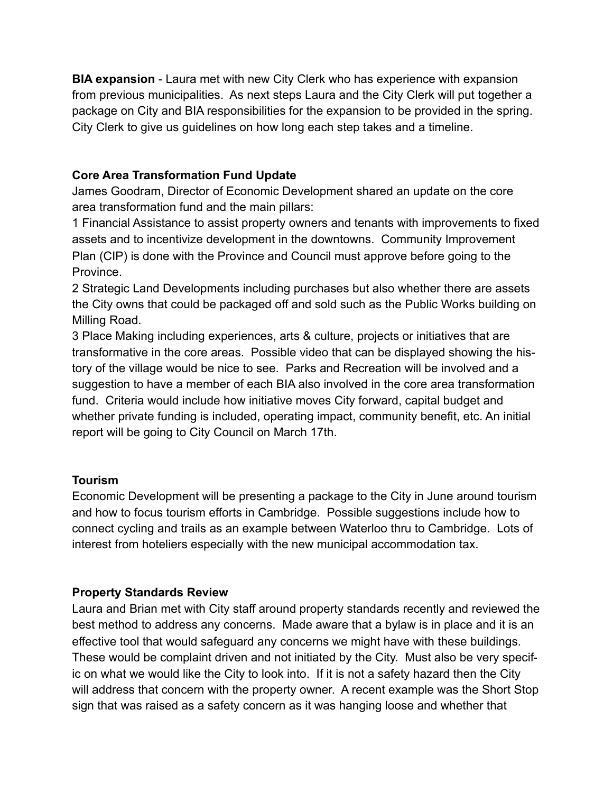**BIA expansion** - Laura met with new City Clerk who has experience with expansion from previous municipalities. As next steps Laura and the City Clerk will put together a package on City and BIA responsibilities for the expansion to be provided in the spring. City Clerk to give us guidelines on how long each step takes and a timeline.

# **Core Area Transformation Fund Update**

James Goodram, Director of Economic Development shared an update on the core area transformation fund and the main pillars:

1 Financial Assistance to assist property owners and tenants with improvements to fixed assets and to incentivize development in the downtowns. Community Improvement Plan (CIP) is done with the Province and Council must approve before going to the Province.

2 Strategic Land Developments including purchases but also whether there are assets the City owns that could be packaged off and sold such as the Public Works building on Milling Road.

3 Place Making including experiences, arts & culture, projects or initiatives that are transformative in the core areas. Possible video that can be displayed showing the history of the village would be nice to see. Parks and Recreation will be involved and a suggestion to have a member of each BIA also involved in the core area transformation fund. Criteria would include how initiative moves City forward, capital budget and whether private funding is included, operating impact, community benefit, etc. An initial report will be going to City Council on March 17th.

# **Tourism**

Economic Development will be presenting a package to the City in June around tourism and how to focus tourism efforts in Cambridge. Possible suggestions include how to connect cycling and trails as an example between Waterloo thru to Cambridge. Lots of interest from hoteliers especially with the new municipal accommodation tax.

# **Property Standards Review**

Laura and Brian met with City staff around property standards recently and reviewed the best method to address any concerns. Made aware that a bylaw is in place and it is an effective tool that would safeguard any concerns we might have with these buildings. These would be complaint driven and not initiated by the City. Must also be very specific on what we would like the City to look into. If it is not a safety hazard then the City will address that concern with the property owner. A recent example was the Short Stop sign that was raised as a safety concern as it was hanging loose and whether that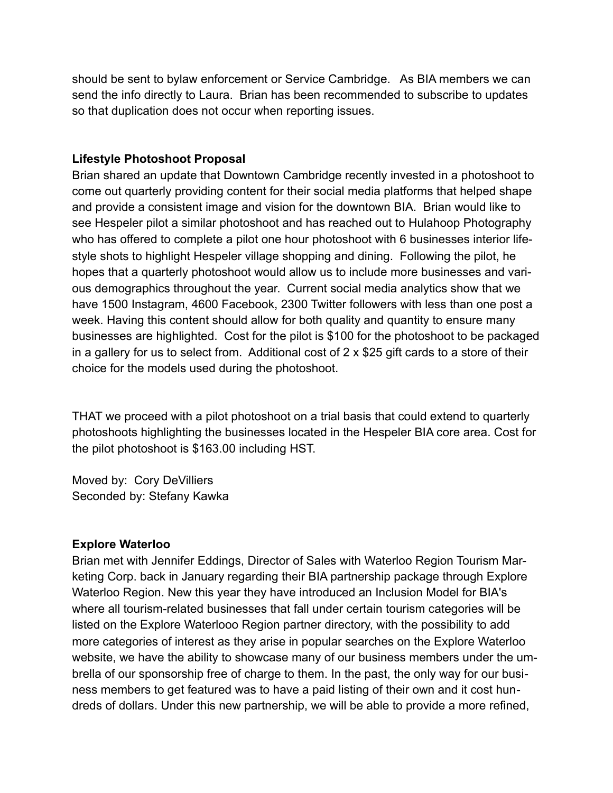should be sent to bylaw enforcement or Service Cambridge. As BIA members we can send the info directly to Laura. Brian has been recommended to subscribe to updates so that duplication does not occur when reporting issues.

# **Lifestyle Photoshoot Proposal**

Brian shared an update that Downtown Cambridge recently invested in a photoshoot to come out quarterly providing content for their social media platforms that helped shape and provide a consistent image and vision for the downtown BIA. Brian would like to see Hespeler pilot a similar photoshoot and has reached out to Hulahoop Photography who has offered to complete a pilot one hour photoshoot with 6 businesses interior lifestyle shots to highlight Hespeler village shopping and dining. Following the pilot, he hopes that a quarterly photoshoot would allow us to include more businesses and various demographics throughout the year. Current social media analytics show that we have 1500 Instagram, 4600 Facebook, 2300 Twitter followers with less than one post a week. Having this content should allow for both quality and quantity to ensure many businesses are highlighted. Cost for the pilot is \$100 for the photoshoot to be packaged in a gallery for us to select from. Additional cost of 2 x \$25 gift cards to a store of their choice for the models used during the photoshoot.

THAT we proceed with a pilot photoshoot on a trial basis that could extend to quarterly photoshoots highlighting the businesses located in the Hespeler BIA core area. Cost for the pilot photoshoot is \$163.00 including HST.

Moved by: Cory DeVilliers Seconded by: Stefany Kawka

### **Explore Waterloo**

Brian met with Jennifer Eddings, Director of Sales with Waterloo Region Tourism Marketing Corp. back in January regarding their BIA partnership package through Explore Waterloo Region. New this year they have introduced an Inclusion Model for BIA's where all tourism-related businesses that fall under certain tourism categories will be listed on the Explore Waterlooo Region partner directory, with the possibility to add more categories of interest as they arise in popular searches on the Explore Waterloo website, we have the ability to showcase many of our business members under the umbrella of our sponsorship free of charge to them. In the past, the only way for our business members to get featured was to have a paid listing of their own and it cost hundreds of dollars. Under this new partnership, we will be able to provide a more refined,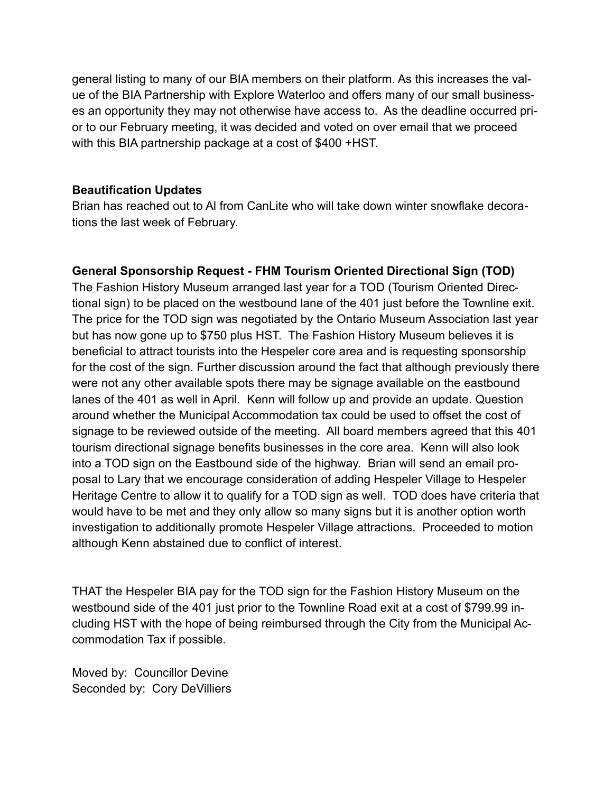general listing to many of our BIA members on their platform. As this increases the value of the BIA Partnership with Explore Waterloo and offers many of our small businesses an opportunity they may not otherwise have access to. As the deadline occurred prior to our February meeting, it was decided and voted on over email that we proceed with this BIA partnership package at a cost of \$400 +HST.

### **Beautification Updates**

Brian has reached out to Al from CanLite who will take down winter snowflake decorations the last week of February.

# **General Sponsorship Request - FHM Tourism Oriented Directional Sign (TOD)**

The Fashion History Museum arranged last year for a TOD (Tourism Oriented Directional sign) to be placed on the westbound lane of the 401 just before the Townline exit. The price for the TOD sign was negotiated by the Ontario Museum Association last year but has now gone up to \$750 plus HST. The Fashion History Museum believes it is beneficial to attract tourists into the Hespeler core area and is requesting sponsorship for the cost of the sign. Further discussion around the fact that although previously there were not any other available spots there may be signage available on the eastbound lanes of the 401 as well in April. Kenn will follow up and provide an update. Question around whether the Municipal Accommodation tax could be used to offset the cost of signage to be reviewed outside of the meeting. All board members agreed that this 401 tourism directional signage benefits businesses in the core area. Kenn will also look into a TOD sign on the Eastbound side of the highway. Brian will send an email proposal to Lary that we encourage consideration of adding Hespeler Village to Hespeler Heritage Centre to allow it to qualify for a TOD sign as well. TOD does have criteria that would have to be met and they only allow so many signs but it is another option worth investigation to additionally promote Hespeler Village attractions. Proceeded to motion although Kenn abstained due to conflict of interest.

THAT the Hespeler BIA pay for the TOD sign for the Fashion History Museum on the westbound side of the 401 just prior to the Townline Road exit at a cost of \$799.99 including HST with the hope of being reimbursed through the City from the Municipal Accommodation Tax if possible.

Moved by: Councillor Devine Seconded by: Cory DeVilliers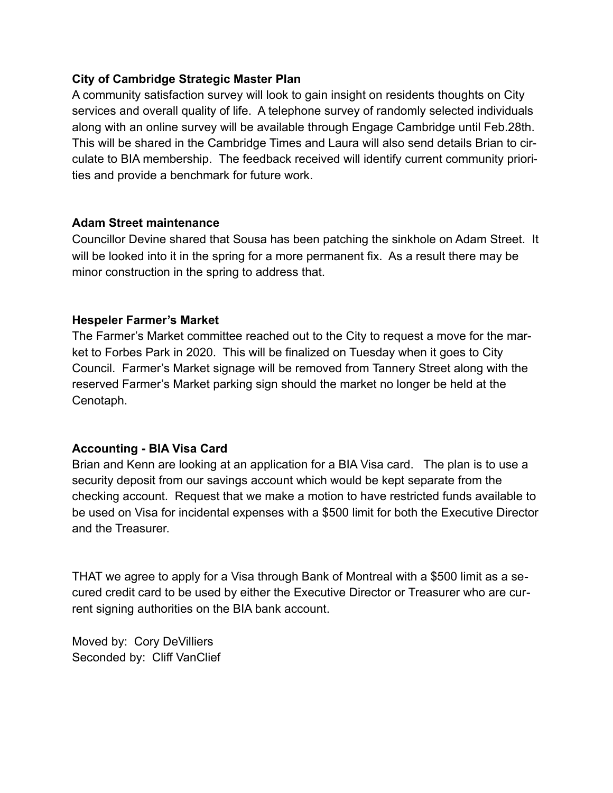## **City of Cambridge Strategic Master Plan**

A community satisfaction survey will look to gain insight on residents thoughts on City services and overall quality of life. A telephone survey of randomly selected individuals along with an online survey will be available through Engage Cambridge until Feb.28th. This will be shared in the Cambridge Times and Laura will also send details Brian to circulate to BIA membership. The feedback received will identify current community priorities and provide a benchmark for future work.

### **Adam Street maintenance**

Councillor Devine shared that Sousa has been patching the sinkhole on Adam Street. It will be looked into it in the spring for a more permanent fix. As a result there may be minor construction in the spring to address that.

## **Hespeler Farmer's Market**

The Farmer's Market committee reached out to the City to request a move for the market to Forbes Park in 2020. This will be finalized on Tuesday when it goes to City Council. Farmer's Market signage will be removed from Tannery Street along with the reserved Farmer's Market parking sign should the market no longer be held at the Cenotaph.

# **Accounting - BIA Visa Card**

Brian and Kenn are looking at an application for a BIA Visa card. The plan is to use a security deposit from our savings account which would be kept separate from the checking account. Request that we make a motion to have restricted funds available to be used on Visa for incidental expenses with a \$500 limit for both the Executive Director and the Treasurer.

THAT we agree to apply for a Visa through Bank of Montreal with a \$500 limit as a secured credit card to be used by either the Executive Director or Treasurer who are current signing authorities on the BIA bank account.

Moved by: Cory DeVilliers Seconded by: Cliff VanClief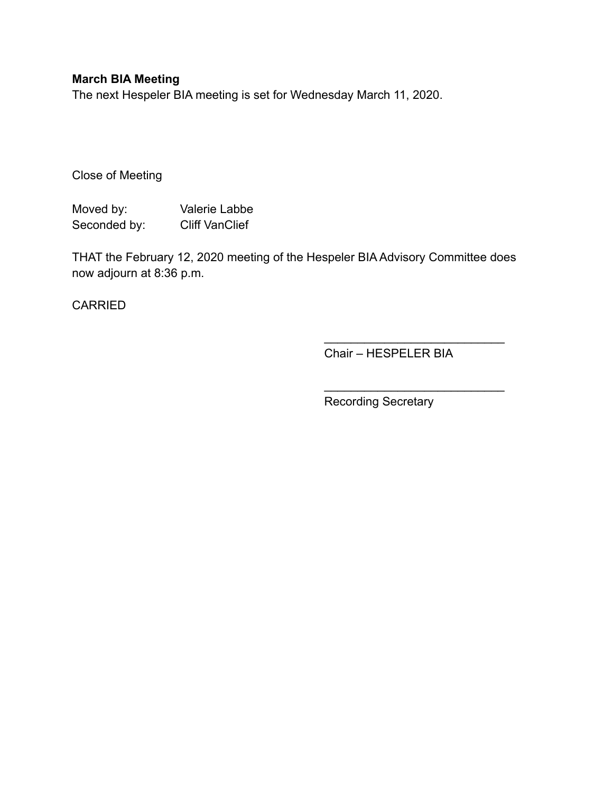# **March BIA Meeting**

The next Hespeler BIA meeting is set for Wednesday March 11, 2020.

Close of Meeting

Moved by: Valerie Labbe Seconded by: Cliff VanClief

THAT the February 12, 2020 meeting of the Hespeler BIA Advisory Committee does now adjourn at 8:36 p.m.

CARRIED

Chair – HESPELER BIA

 $\frac{\partial u}{\partial x^2} = \frac{\partial u}{\partial y^2} + \frac{\partial u}{\partial z^2} + \frac{\partial u}{\partial z^2} + \frac{\partial u}{\partial z^2} + \frac{\partial u}{\partial z^2} + \frac{\partial u}{\partial z^2} + \frac{\partial u}{\partial z^2} + \frac{\partial u}{\partial z^2} + \frac{\partial u}{\partial z^2} + \frac{\partial u}{\partial z^2} + \frac{\partial u}{\partial z^2} + \frac{\partial u}{\partial z^2} + \frac{\partial u}{\partial z^2} + \frac{\partial u}{\partial z^2} + \frac{\partial u}{\partial z^2} + \frac{\partial u}{\partial z^2}$ 

 $\overline{\phantom{a}}$  , where  $\overline{\phantom{a}}$  , where  $\overline{\phantom{a}}$  , where  $\overline{\phantom{a}}$ 

Recording Secretary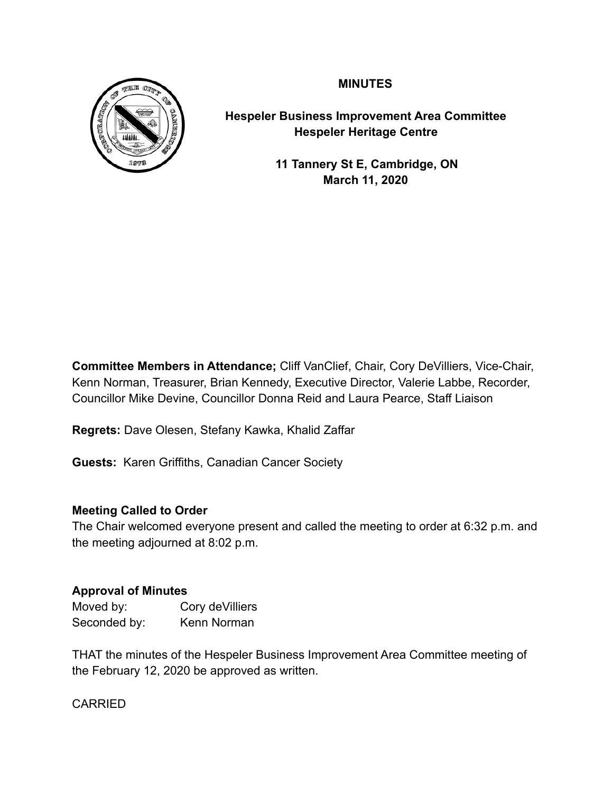# **MINUTES**



**Hespeler Business Improvement Area Committee Hespeler Heritage Centre** 

> **11 Tannery St E, Cambridge, ON March 11, 2020**

**Committee Members in Attendance;** Cliff VanClief, Chair, Cory DeVilliers, Vice-Chair, Kenn Norman, Treasurer, Brian Kennedy, Executive Director, Valerie Labbe, Recorder, Councillor Mike Devine, Councillor Donna Reid and Laura Pearce, Staff Liaison

**Regrets:** Dave Olesen, Stefany Kawka, Khalid Zaffar

**Guests:** Karen Griffiths, Canadian Cancer Society

# **Meeting Called to Order**

The Chair welcomed everyone present and called the meeting to order at 6:32 p.m. and the meeting adjourned at 8:02 p.m.

# **Approval of Minutes**

| Moved by:    | Cory de Villiers |
|--------------|------------------|
| Seconded by: | Kenn Norman      |

THAT the minutes of the Hespeler Business Improvement Area Committee meeting of the February 12, 2020 be approved as written.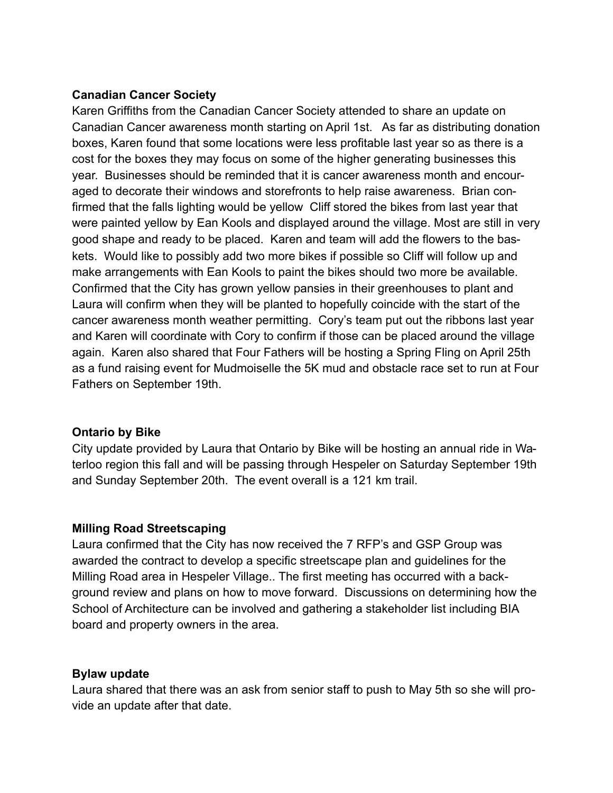# **Canadian Cancer Society**

Karen Griffiths from the Canadian Cancer Society attended to share an update on Canadian Cancer awareness month starting on April 1st. As far as distributing donation boxes, Karen found that some locations were less profitable last year so as there is a cost for the boxes they may focus on some of the higher generating businesses this year. Businesses should be reminded that it is cancer awareness month and encouraged to decorate their windows and storefronts to help raise awareness. Brian confirmed that the falls lighting would be yellow Cliff stored the bikes from last year that were painted yellow by Ean Kools and displayed around the village. Most are still in very good shape and ready to be placed. Karen and team will add the flowers to the baskets. Would like to possibly add two more bikes if possible so Cliff will follow up and make arrangements with Ean Kools to paint the bikes should two more be available. Confirmed that the City has grown yellow pansies in their greenhouses to plant and Laura will confirm when they will be planted to hopefully coincide with the start of the cancer awareness month weather permitting. Cory's team put out the ribbons last year and Karen will coordinate with Cory to confirm if those can be placed around the village again. Karen also shared that Four Fathers will be hosting a Spring Fling on April 25th as a fund raising event for Mudmoiselle the 5K mud and obstacle race set to run at Four Fathers on September 19th.

### **Ontario by Bike**

City update provided by Laura that Ontario by Bike will be hosting an annual ride in Waterloo region this fall and will be passing through Hespeler on Saturday September 19th and Sunday September 20th. The event overall is a 121 km trail.

# **Milling Road Streetscaping**

Laura confirmed that the City has now received the 7 RFP's and GSP Group was awarded the contract to develop a specific streetscape plan and guidelines for the Milling Road area in Hespeler Village.. The first meeting has occurred with a background review and plans on how to move forward. Discussions on determining how the School of Architecture can be involved and gathering a stakeholder list including BIA board and property owners in the area.

### **Bylaw update**

Laura shared that there was an ask from senior staff to push to May 5th so she will provide an update after that date.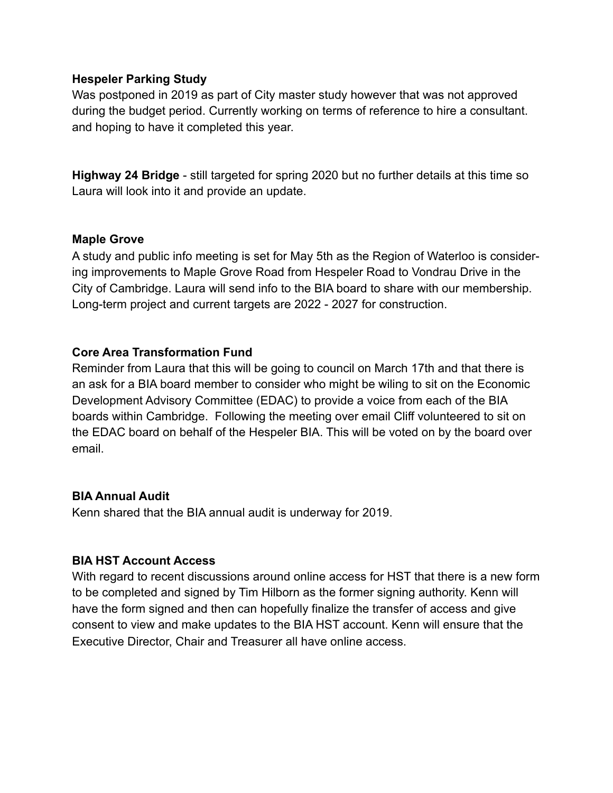### **Hespeler Parking Study**

Was postponed in 2019 as part of City master study however that was not approved during the budget period. Currently working on terms of reference to hire a consultant. and hoping to have it completed this year.

**Highway 24 Bridge** - still targeted for spring 2020 but no further details at this time so Laura will look into it and provide an update.

## **Maple Grove**

A study and public info meeting is set for May 5th as the Region of Waterloo is considering improvements to Maple Grove Road from Hespeler Road to Vondrau Drive in the City of Cambridge. Laura will send info to the BIA board to share with our membership. Long-term project and current targets are 2022 - 2027 for construction.

## **Core Area Transformation Fund**

Reminder from Laura that this will be going to council on March 17th and that there is an ask for a BIA board member to consider who might be wiling to sit on the Economic Development Advisory Committee (EDAC) to provide a voice from each of the BIA boards within Cambridge. Following the meeting over email Cliff volunteered to sit on the EDAC board on behalf of the Hespeler BIA. This will be voted on by the board over email.

# **BIA Annual Audit**

Kenn shared that the BIA annual audit is underway for 2019.

# **BIA HST Account Access**

With regard to recent discussions around online access for HST that there is a new form to be completed and signed by Tim Hilborn as the former signing authority. Kenn will have the form signed and then can hopefully finalize the transfer of access and give consent to view and make updates to the BIA HST account. Kenn will ensure that the Executive Director, Chair and Treasurer all have online access.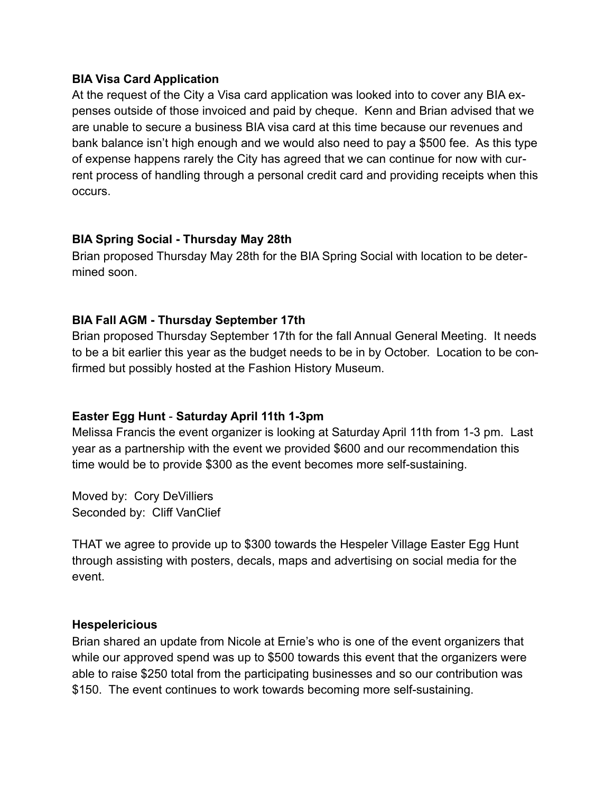### **BIA Visa Card Application**

At the request of the City a Visa card application was looked into to cover any BIA expenses outside of those invoiced and paid by cheque. Kenn and Brian advised that we are unable to secure a business BIA visa card at this time because our revenues and bank balance isn't high enough and we would also need to pay a \$500 fee. As this type of expense happens rarely the City has agreed that we can continue for now with current process of handling through a personal credit card and providing receipts when this occurs.

# **BIA Spring Social - Thursday May 28th**

Brian proposed Thursday May 28th for the BIA Spring Social with location to be determined soon.

# **BIA Fall AGM - Thursday September 17th**

Brian proposed Thursday September 17th for the fall Annual General Meeting. It needs to be a bit earlier this year as the budget needs to be in by October. Location to be confirmed but possibly hosted at the Fashion History Museum.

# **Easter Egg Hunt** - **Saturday April 11th 1-3pm**

Melissa Francis the event organizer is looking at Saturday April 11th from 1-3 pm. Last year as a partnership with the event we provided \$600 and our recommendation this time would be to provide \$300 as the event becomes more self-sustaining.

Moved by: Cory DeVilliers Seconded by: Cliff VanClief

THAT we agree to provide up to \$300 towards the Hespeler Village Easter Egg Hunt through assisting with posters, decals, maps and advertising on social media for the event.

# **Hespelericious**

Brian shared an update from Nicole at Ernie's who is one of the event organizers that while our approved spend was up to \$500 towards this event that the organizers were able to raise \$250 total from the participating businesses and so our contribution was \$150. The event continues to work towards becoming more self-sustaining.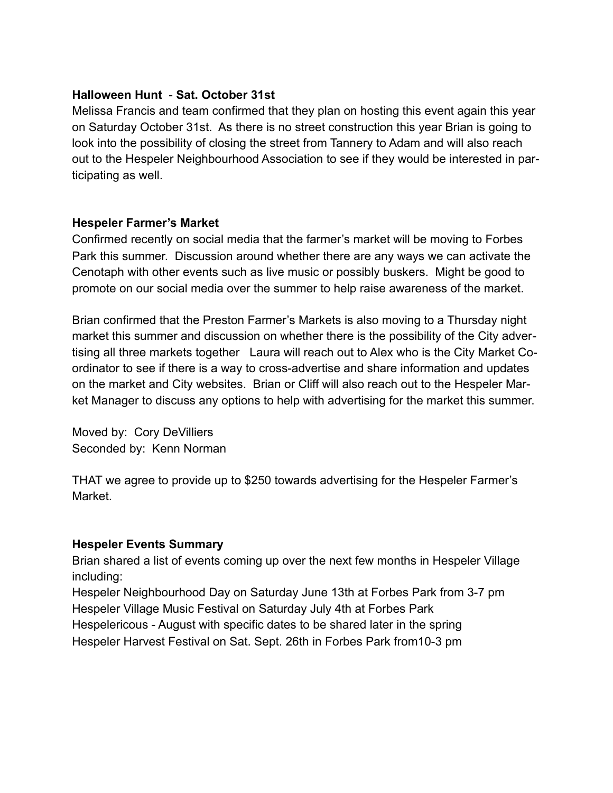## **Halloween Hunt** - **Sat. October 31st**

Melissa Francis and team confirmed that they plan on hosting this event again this year on Saturday October 31st. As there is no street construction this year Brian is going to look into the possibility of closing the street from Tannery to Adam and will also reach out to the Hespeler Neighbourhood Association to see if they would be interested in participating as well.

### **Hespeler Farmer's Market**

Confirmed recently on social media that the farmer's market will be moving to Forbes Park this summer. Discussion around whether there are any ways we can activate the Cenotaph with other events such as live music or possibly buskers. Might be good to promote on our social media over the summer to help raise awareness of the market.

Brian confirmed that the Preston Farmer's Markets is also moving to a Thursday night market this summer and discussion on whether there is the possibility of the City advertising all three markets together Laura will reach out to Alex who is the City Market Coordinator to see if there is a way to cross-advertise and share information and updates on the market and City websites. Brian or Cliff will also reach out to the Hespeler Market Manager to discuss any options to help with advertising for the market this summer.

Moved by: Cory DeVilliers Seconded by: Kenn Norman

THAT we agree to provide up to \$250 towards advertising for the Hespeler Farmer's Market.

### **Hespeler Events Summary**

Brian shared a list of events coming up over the next few months in Hespeler Village including:

Hespeler Neighbourhood Day on Saturday June 13th at Forbes Park from 3-7 pm Hespeler Village Music Festival on Saturday July 4th at Forbes Park Hespelericous - August with specific dates to be shared later in the spring Hespeler Harvest Festival on Sat. Sept. 26th in Forbes Park from10-3 pm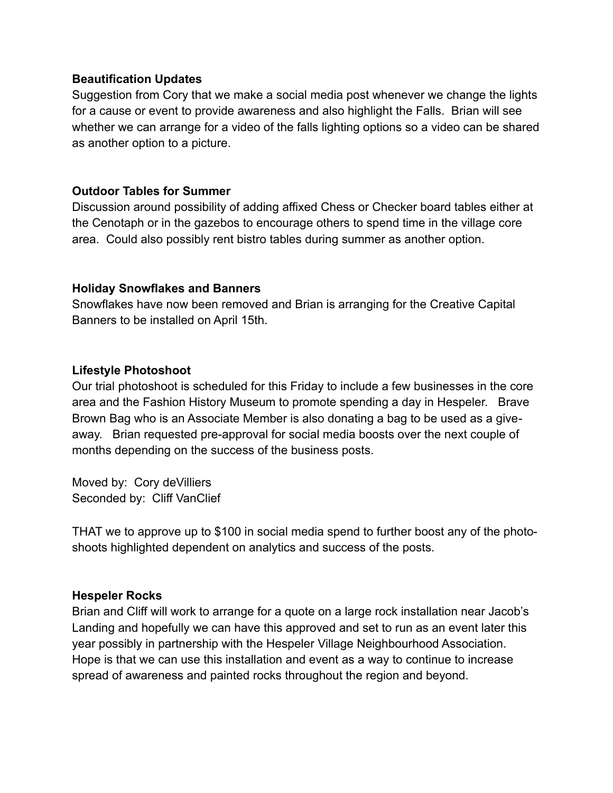### **Beautification Updates**

Suggestion from Cory that we make a social media post whenever we change the lights for a cause or event to provide awareness and also highlight the Falls. Brian will see whether we can arrange for a video of the falls lighting options so a video can be shared as another option to a picture.

# **Outdoor Tables for Summer**

Discussion around possibility of adding affixed Chess or Checker board tables either at the Cenotaph or in the gazebos to encourage others to spend time in the village core area. Could also possibly rent bistro tables during summer as another option.

# **Holiday Snowflakes and Banners**

Snowflakes have now been removed and Brian is arranging for the Creative Capital Banners to be installed on April 15th.

# **Lifestyle Photoshoot**

Our trial photoshoot is scheduled for this Friday to include a few businesses in the core area and the Fashion History Museum to promote spending a day in Hespeler. Brave Brown Bag who is an Associate Member is also donating a bag to be used as a giveaway. Brian requested pre-approval for social media boosts over the next couple of months depending on the success of the business posts.

Moved by: Cory deVilliers Seconded by: Cliff VanClief

THAT we to approve up to \$100 in social media spend to further boost any of the photoshoots highlighted dependent on analytics and success of the posts.

# **Hespeler Rocks**

Brian and Cliff will work to arrange for a quote on a large rock installation near Jacob's Landing and hopefully we can have this approved and set to run as an event later this year possibly in partnership with the Hespeler Village Neighbourhood Association. Hope is that we can use this installation and event as a way to continue to increase spread of awareness and painted rocks throughout the region and beyond.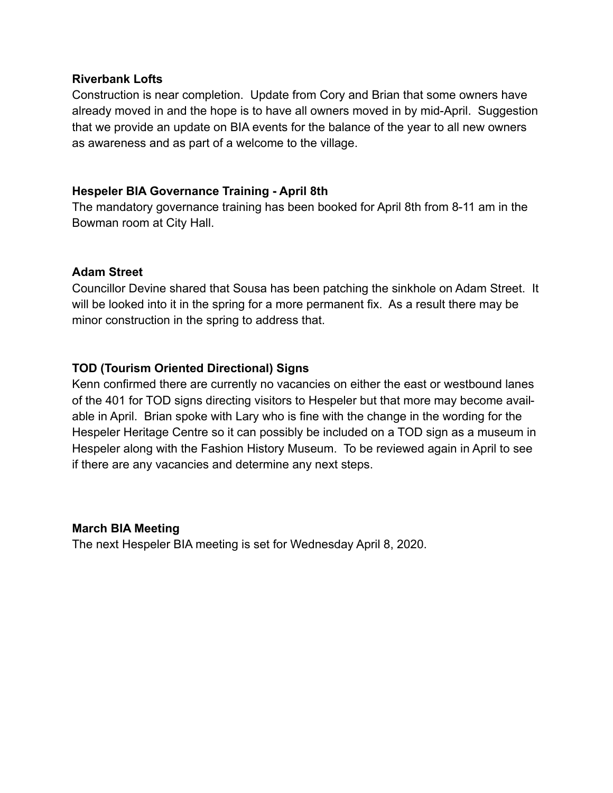### **Riverbank Lofts**

Construction is near completion. Update from Cory and Brian that some owners have already moved in and the hope is to have all owners moved in by mid-April. Suggestion that we provide an update on BIA events for the balance of the year to all new owners as awareness and as part of a welcome to the village.

# **Hespeler BIA Governance Training - April 8th**

The mandatory governance training has been booked for April 8th from 8-11 am in the Bowman room at City Hall.

# **Adam Street**

Councillor Devine shared that Sousa has been patching the sinkhole on Adam Street. It will be looked into it in the spring for a more permanent fix. As a result there may be minor construction in the spring to address that.

# **TOD (Tourism Oriented Directional) Signs**

Kenn confirmed there are currently no vacancies on either the east or westbound lanes of the 401 for TOD signs directing visitors to Hespeler but that more may become available in April. Brian spoke with Lary who is fine with the change in the wording for the Hespeler Heritage Centre so it can possibly be included on a TOD sign as a museum in Hespeler along with the Fashion History Museum. To be reviewed again in April to see if there are any vacancies and determine any next steps.

# **March BIA Meeting**

The next Hespeler BIA meeting is set for Wednesday April 8, 2020.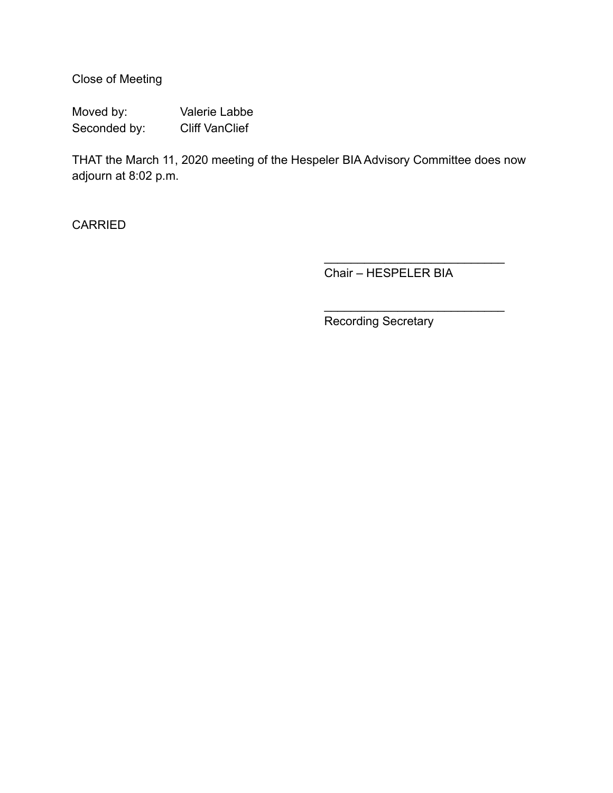Close of Meeting

Moved by: Valerie Labbe Seconded by: Cliff VanClief

THAT the March 11, 2020 meeting of the Hespeler BIA Advisory Committee does now adjourn at 8:02 p.m.

**CARRIED** 

Chair – HESPELER BIA

 $\frac{\partial u}{\partial x^2} = \frac{\partial u}{\partial y^2} + \frac{\partial u}{\partial z^2} + \frac{\partial u}{\partial z^2} + \frac{\partial u}{\partial z^2} + \frac{\partial u}{\partial z^2} + \frac{\partial u}{\partial z^2} + \frac{\partial u}{\partial z^2} + \frac{\partial u}{\partial z^2} + \frac{\partial u}{\partial z^2} + \frac{\partial u}{\partial z^2} + \frac{\partial u}{\partial z^2} + \frac{\partial u}{\partial z^2} + \frac{\partial u}{\partial z^2} + \frac{\partial u}{\partial z^2} + \frac{\partial u}{\partial z^2} + \frac{\partial u}{\partial z^2}$ 

 $\overline{\phantom{a}}$  , where  $\overline{\phantom{a}}$  , where  $\overline{\phantom{a}}$  , where  $\overline{\phantom{a}}$ 

Recording Secretary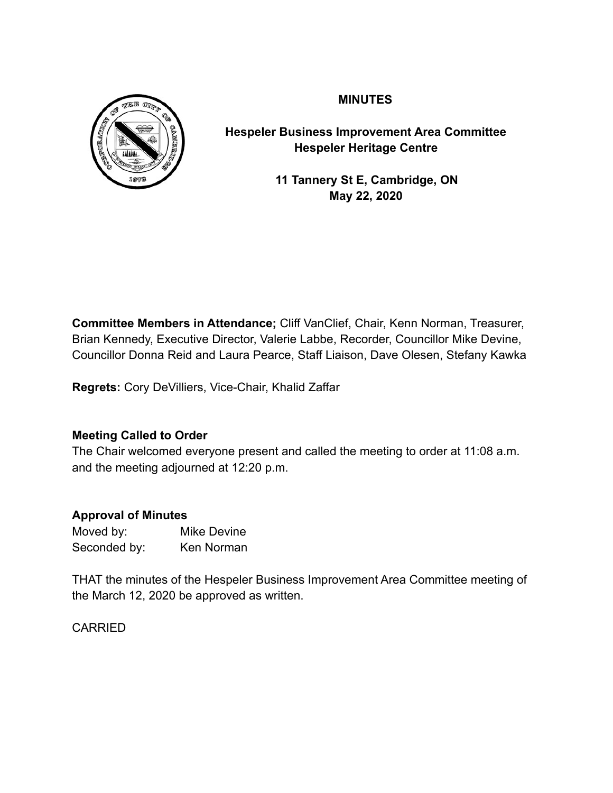

# **MINUTES**

**Hespeler Business Improvement Area Committee Hespeler Heritage Centre** 

> **11 Tannery St E, Cambridge, ON May 22, 2020**

**Committee Members in Attendance;** Cliff VanClief, Chair, Kenn Norman, Treasurer, Brian Kennedy, Executive Director, Valerie Labbe, Recorder, Councillor Mike Devine, Councillor Donna Reid and Laura Pearce, Staff Liaison, Dave Olesen, Stefany Kawka

**Regrets:** Cory DeVilliers, Vice-Chair, Khalid Zaffar

# **Meeting Called to Order**

The Chair welcomed everyone present and called the meeting to order at 11:08 a.m. and the meeting adjourned at 12:20 p.m.

# **Approval of Minutes**

Moved by: Mike Devine Seconded by: Ken Norman

THAT the minutes of the Hespeler Business Improvement Area Committee meeting of the March 12, 2020 be approved as written.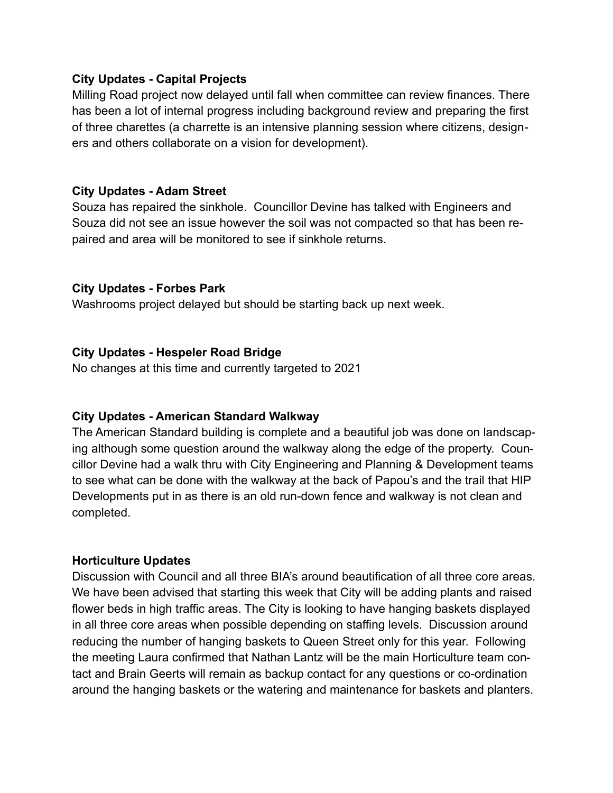## **City Updates - Capital Projects**

Milling Road project now delayed until fall when committee can review finances. There has been a lot of internal progress including background review and preparing the first of three charettes (a charrette is an intensive planning session where citizens, designers and others collaborate on a vision for development).

## **City Updates - Adam Street**

Souza has repaired the sinkhole. Councillor Devine has talked with Engineers and Souza did not see an issue however the soil was not compacted so that has been repaired and area will be monitored to see if sinkhole returns.

## **City Updates - Forbes Park**

Washrooms project delayed but should be starting back up next week.

## **City Updates - Hespeler Road Bridge**

No changes at this time and currently targeted to 2021

### **City Updates - American Standard Walkway**

The American Standard building is complete and a beautiful job was done on landscaping although some question around the walkway along the edge of the property. Councillor Devine had a walk thru with City Engineering and Planning & Development teams to see what can be done with the walkway at the back of Papou's and the trail that HIP Developments put in as there is an old run-down fence and walkway is not clean and completed.

### **Horticulture Updates**

Discussion with Council and all three BIA's around beautification of all three core areas. We have been advised that starting this week that City will be adding plants and raised flower beds in high traffic areas. The City is looking to have hanging baskets displayed in all three core areas when possible depending on staffing levels. Discussion around reducing the number of hanging baskets to Queen Street only for this year. Following the meeting Laura confirmed that Nathan Lantz will be the main Horticulture team contact and Brain Geerts will remain as backup contact for any questions or co-ordination around the hanging baskets or the watering and maintenance for baskets and planters.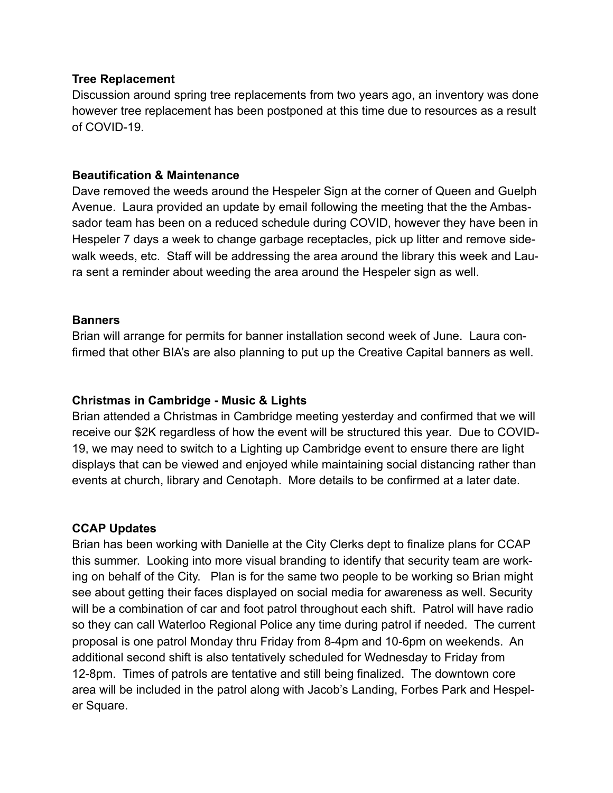### **Tree Replacement**

Discussion around spring tree replacements from two years ago, an inventory was done however tree replacement has been postponed at this time due to resources as a result of COVID-19.

### **Beautification & Maintenance**

Dave removed the weeds around the Hespeler Sign at the corner of Queen and Guelph Avenue. Laura provided an update by email following the meeting that the the Ambassador team has been on a reduced schedule during COVID, however they have been in Hespeler 7 days a week to change garbage receptacles, pick up litter and remove sidewalk weeds, etc. Staff will be addressing the area around the library this week and Laura sent a reminder about weeding the area around the Hespeler sign as well.

#### **Banners**

Brian will arrange for permits for banner installation second week of June. Laura confirmed that other BIA's are also planning to put up the Creative Capital banners as well.

### **Christmas in Cambridge - Music & Lights**

Brian attended a Christmas in Cambridge meeting yesterday and confirmed that we will receive our \$2K regardless of how the event will be structured this year. Due to COVID-19, we may need to switch to a Lighting up Cambridge event to ensure there are light displays that can be viewed and enjoyed while maintaining social distancing rather than events at church, library and Cenotaph. More details to be confirmed at a later date.

### **CCAP Updates**

Brian has been working with Danielle at the City Clerks dept to finalize plans for CCAP this summer. Looking into more visual branding to identify that security team are working on behalf of the City. Plan is for the same two people to be working so Brian might see about getting their faces displayed on social media for awareness as well. Security will be a combination of car and foot patrol throughout each shift. Patrol will have radio so they can call Waterloo Regional Police any time during patrol if needed. The current proposal is one patrol Monday thru Friday from 8-4pm and 10-6pm on weekends. An additional second shift is also tentatively scheduled for Wednesday to Friday from 12-8pm. Times of patrols are tentative and still being finalized. The downtown core area will be included in the patrol along with Jacob's Landing, Forbes Park and Hespeler Square.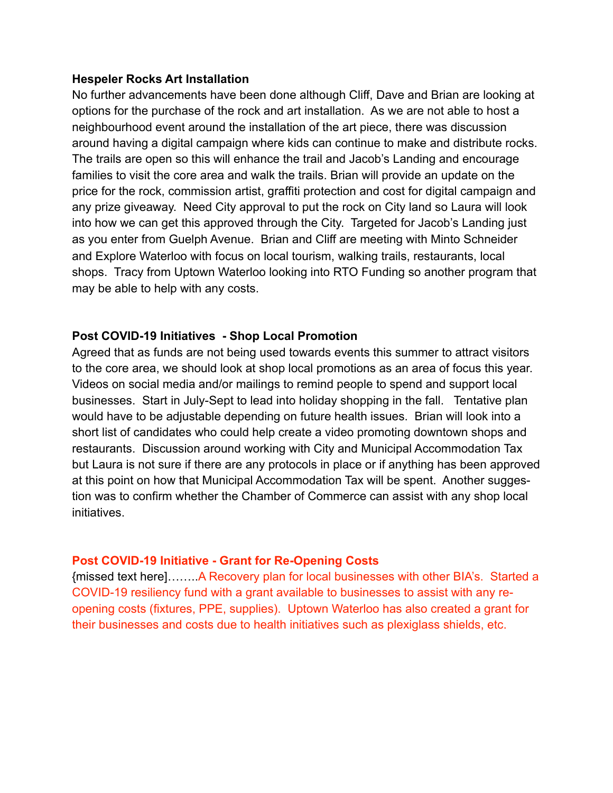### **Hespeler Rocks Art Installation**

No further advancements have been done although Cliff, Dave and Brian are looking at options for the purchase of the rock and art installation. As we are not able to host a neighbourhood event around the installation of the art piece, there was discussion around having a digital campaign where kids can continue to make and distribute rocks. The trails are open so this will enhance the trail and Jacob's Landing and encourage families to visit the core area and walk the trails. Brian will provide an update on the price for the rock, commission artist, graffiti protection and cost for digital campaign and any prize giveaway. Need City approval to put the rock on City land so Laura will look into how we can get this approved through the City. Targeted for Jacob's Landing just as you enter from Guelph Avenue. Brian and Cliff are meeting with Minto Schneider and Explore Waterloo with focus on local tourism, walking trails, restaurants, local shops. Tracy from Uptown Waterloo looking into RTO Funding so another program that may be able to help with any costs.

### **Post COVID-19 Initiatives - Shop Local Promotion**

Agreed that as funds are not being used towards events this summer to attract visitors to the core area, we should look at shop local promotions as an area of focus this year. Videos on social media and/or mailings to remind people to spend and support local businesses. Start in July-Sept to lead into holiday shopping in the fall. Tentative plan would have to be adjustable depending on future health issues. Brian will look into a short list of candidates who could help create a video promoting downtown shops and restaurants. Discussion around working with City and Municipal Accommodation Tax but Laura is not sure if there are any protocols in place or if anything has been approved at this point on how that Municipal Accommodation Tax will be spent. Another suggestion was to confirm whether the Chamber of Commerce can assist with any shop local initiatives.

### **Post COVID-19 Initiative - Grant for Re-Opening Costs**

{missed text here]……..A Recovery plan for local businesses with other BIA's. Started a COVID-19 resiliency fund with a grant available to businesses to assist with any reopening costs (fixtures, PPE, supplies). Uptown Waterloo has also created a grant for their businesses and costs due to health initiatives such as plexiglass shields, etc.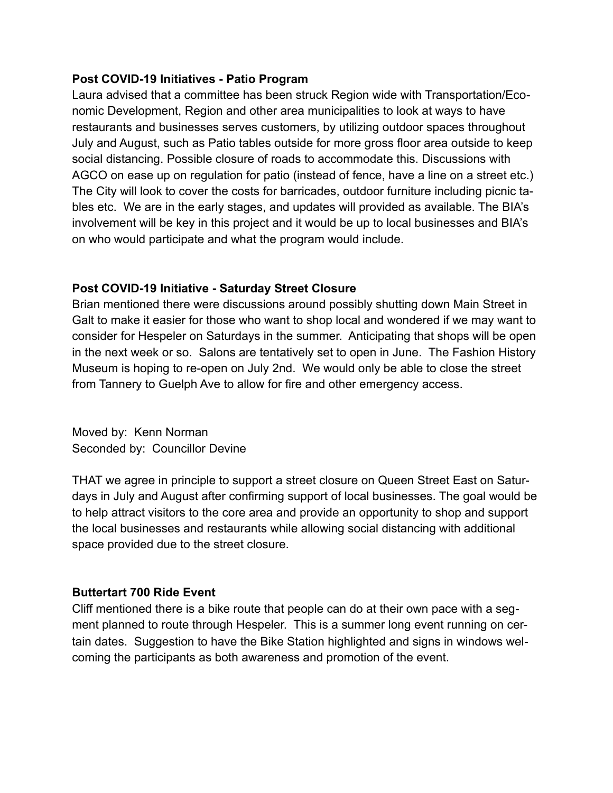### **Post COVID-19 Initiatives - Patio Program**

Laura advised that a committee has been struck Region wide with Transportation/Economic Development, Region and other area municipalities to look at ways to have restaurants and businesses serves customers, by utilizing outdoor spaces throughout July and August, such as Patio tables outside for more gross floor area outside to keep social distancing. Possible closure of roads to accommodate this. Discussions with AGCO on ease up on regulation for patio (instead of fence, have a line on a street etc.) The City will look to cover the costs for barricades, outdoor furniture including picnic tables etc. We are in the early stages, and updates will provided as available. The BIA's involvement will be key in this project and it would be up to local businesses and BIA's on who would participate and what the program would include.

# **Post COVID-19 Initiative - Saturday Street Closure**

Brian mentioned there were discussions around possibly shutting down Main Street in Galt to make it easier for those who want to shop local and wondered if we may want to consider for Hespeler on Saturdays in the summer. Anticipating that shops will be open in the next week or so. Salons are tentatively set to open in June. The Fashion History Museum is hoping to re-open on July 2nd. We would only be able to close the street from Tannery to Guelph Ave to allow for fire and other emergency access.

Moved by: Kenn Norman Seconded by: Councillor Devine

THAT we agree in principle to support a street closure on Queen Street East on Saturdays in July and August after confirming support of local businesses. The goal would be to help attract visitors to the core area and provide an opportunity to shop and support the local businesses and restaurants while allowing social distancing with additional space provided due to the street closure.

# **Buttertart 700 Ride Event**

Cliff mentioned there is a bike route that people can do at their own pace with a segment planned to route through Hespeler. This is a summer long event running on certain dates. Suggestion to have the Bike Station highlighted and signs in windows welcoming the participants as both awareness and promotion of the event.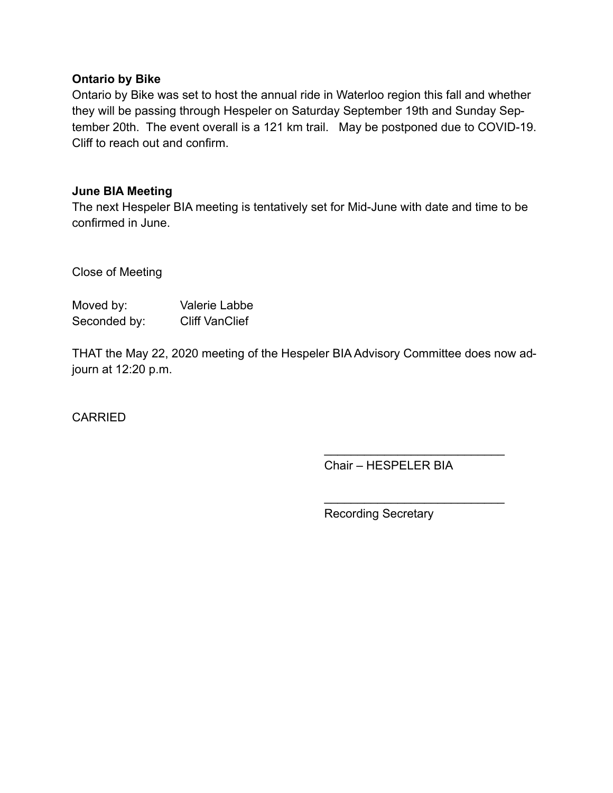### **Ontario by Bike**

Ontario by Bike was set to host the annual ride in Waterloo region this fall and whether they will be passing through Hespeler on Saturday September 19th and Sunday September 20th. The event overall is a 121 km trail. May be postponed due to COVID-19. Cliff to reach out and confirm.

### **June BIA Meeting**

The next Hespeler BIA meeting is tentatively set for Mid-June with date and time to be confirmed in June.

Close of Meeting

| Moved by:    | Valerie Labbe         |
|--------------|-----------------------|
| Seconded by: | <b>Cliff VanClief</b> |

THAT the May 22, 2020 meeting of the Hespeler BIA Advisory Committee does now adjourn at 12:20 p.m.

**CARRIED** 

Chair – HESPELER BIA

 $\frac{\partial u}{\partial x^2} = \frac{\partial u}{\partial y^2} + \frac{\partial u}{\partial z^2} + \frac{\partial u}{\partial z^2} + \frac{\partial u}{\partial z^2} + \frac{\partial u}{\partial z^2} + \frac{\partial u}{\partial z^2} + \frac{\partial u}{\partial z^2} + \frac{\partial u}{\partial z^2} + \frac{\partial u}{\partial z^2} + \frac{\partial u}{\partial z^2} + \frac{\partial u}{\partial z^2} + \frac{\partial u}{\partial z^2} + \frac{\partial u}{\partial z^2} + \frac{\partial u}{\partial z^2} + \frac{\partial u}{\partial z^2} + \frac{\partial u}{\partial z^2}$ 

 $\overline{\phantom{a}}$  , where  $\overline{\phantom{a}}$  , where  $\overline{\phantom{a}}$  , where  $\overline{\phantom{a}}$ 

Recording Secretary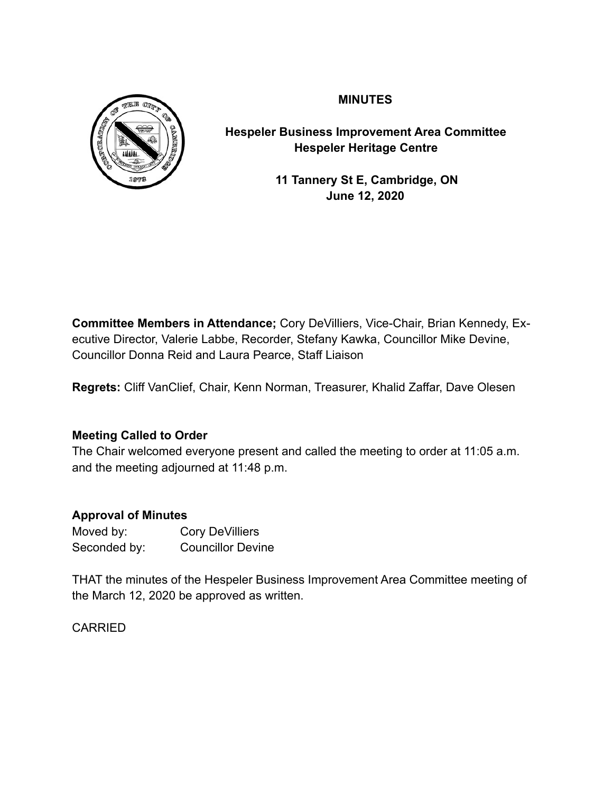

# **MINUTES**

**Hespeler Business Improvement Area Committee Hespeler Heritage Centre** 

> **11 Tannery St E, Cambridge, ON June 12, 2020**

**Committee Members in Attendance;** Cory DeVilliers, Vice-Chair, Brian Kennedy, Executive Director, Valerie Labbe, Recorder, Stefany Kawka, Councillor Mike Devine, Councillor Donna Reid and Laura Pearce, Staff Liaison

**Regrets:** Cliff VanClief, Chair, Kenn Norman, Treasurer, Khalid Zaffar, Dave Olesen

# **Meeting Called to Order**

The Chair welcomed everyone present and called the meeting to order at 11:05 a.m. and the meeting adjourned at 11:48 p.m.

# **Approval of Minutes**

| Moved by:    | <b>Cory DeVilliers</b>   |
|--------------|--------------------------|
| Seconded by: | <b>Councillor Devine</b> |

THAT the minutes of the Hespeler Business Improvement Area Committee meeting of the March 12, 2020 be approved as written.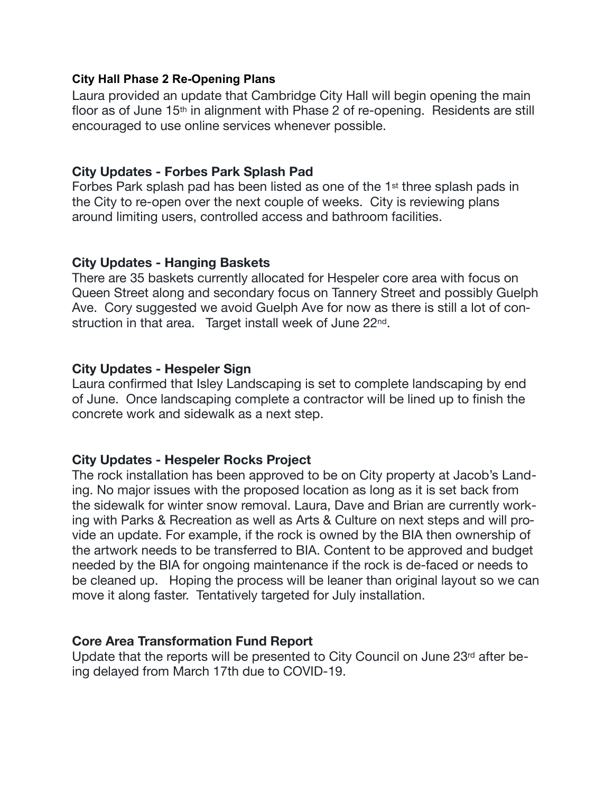### **City Hall Phase 2 Re-Opening Plans**

Laura provided an update that Cambridge City Hall will begin opening the main floor as of June 15th in alignment with Phase 2 of re-opening. Residents are still encouraged to use online services whenever possible.

# **City Updates - Forbes Park Splash Pad**

Forbes Park splash pad has been listed as one of the 1st three splash pads in the City to re-open over the next couple of weeks. City is reviewing plans around limiting users, controlled access and bathroom facilities.

# **City Updates - Hanging Baskets**

There are 35 baskets currently allocated for Hespeler core area with focus on Queen Street along and secondary focus on Tannery Street and possibly Guelph Ave. Cory suggested we avoid Guelph Ave for now as there is still a lot of construction in that area. Target install week of June 22<sup>nd</sup>.

# **City Updates - Hespeler Sign**

Laura confirmed that Isley Landscaping is set to complete landscaping by end of June. Once landscaping complete a contractor will be lined up to finish the concrete work and sidewalk as a next step.

# **City Updates - Hespeler Rocks Project**

The rock installation has been approved to be on City property at Jacob's Landing. No major issues with the proposed location as long as it is set back from the sidewalk for winter snow removal. Laura, Dave and Brian are currently working with Parks & Recreation as well as Arts & Culture on next steps and will provide an update. For example, if the rock is owned by the BIA then ownership of the artwork needs to be transferred to BIA. Content to be approved and budget needed by the BIA for ongoing maintenance if the rock is de-faced or needs to be cleaned up. Hoping the process will be leaner than original layout so we can move it along faster. Tentatively targeted for July installation.

# **Core Area Transformation Fund Report**

Update that the reports will be presented to City Council on June 23rd after being delayed from March 17th due to COVID-19.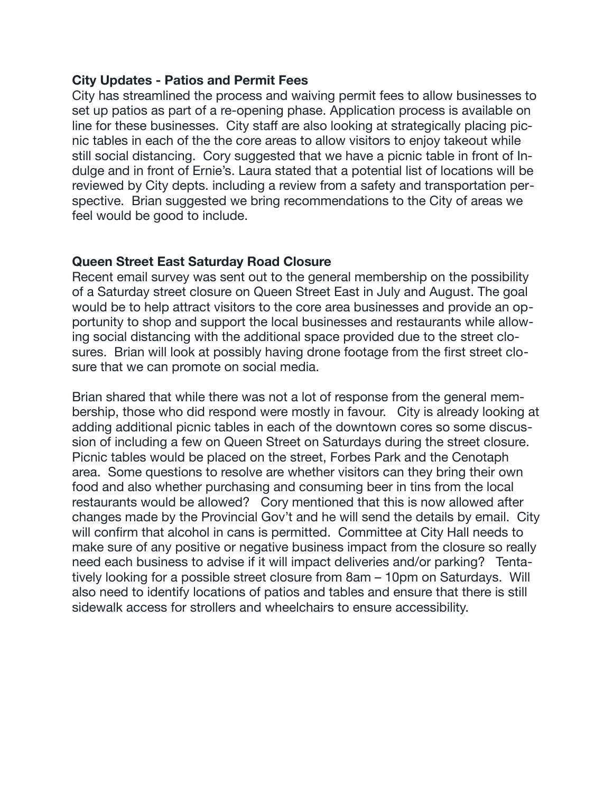## **City Updates - Patios and Permit Fees**

City has streamlined the process and waiving permit fees to allow businesses to set up patios as part of a re-opening phase. Application process is available on line for these businesses. City staff are also looking at strategically placing picnic tables in each of the the core areas to allow visitors to enjoy takeout while still social distancing. Cory suggested that we have a picnic table in front of Indulge and in front of Ernie's. Laura stated that a potential list of locations will be reviewed by City depts. including a review from a safety and transportation perspective. Brian suggested we bring recommendations to the City of areas we feel would be good to include.

# **Queen Street East Saturday Road Closure**

Recent email survey was sent out to the general membership on the possibility of a Saturday street closure on Queen Street East in July and August. The goal would be to help attract visitors to the core area businesses and provide an opportunity to shop and support the local businesses and restaurants while allowing social distancing with the additional space provided due to the street closures. Brian will look at possibly having drone footage from the first street closure that we can promote on social media.

Brian shared that while there was not a lot of response from the general membership, those who did respond were mostly in favour. City is already looking at adding additional picnic tables in each of the downtown cores so some discussion of including a few on Queen Street on Saturdays during the street closure. Picnic tables would be placed on the street, Forbes Park and the Cenotaph area. Some questions to resolve are whether visitors can they bring their own food and also whether purchasing and consuming beer in tins from the local restaurants would be allowed? Cory mentioned that this is now allowed after changes made by the Provincial Gov't and he will send the details by email. City will confirm that alcohol in cans is permitted. Committee at City Hall needs to make sure of any positive or negative business impact from the closure so really need each business to advise if it will impact deliveries and/or parking? Tentatively looking for a possible street closure from 8am – 10pm on Saturdays. Will also need to identify locations of patios and tables and ensure that there is still sidewalk access for strollers and wheelchairs to ensure accessibility.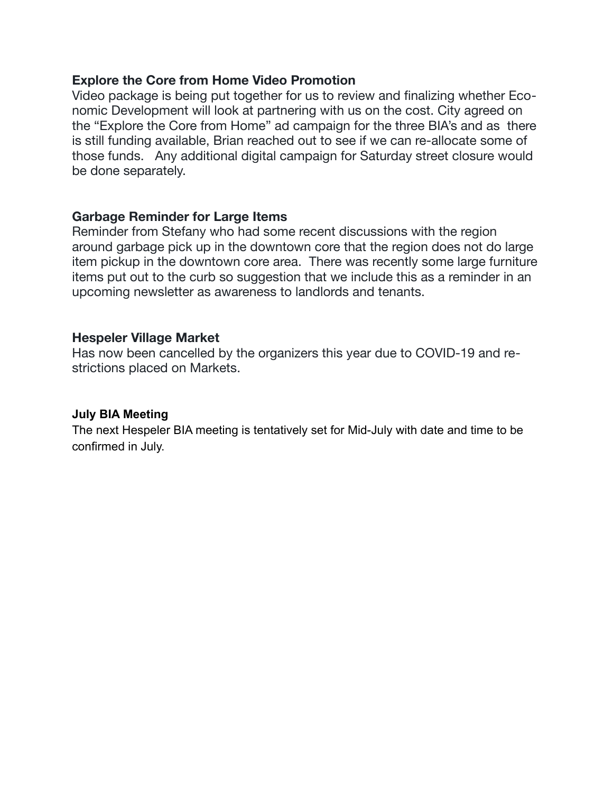## **Explore the Core from Home Video Promotion**

Video package is being put together for us to review and finalizing whether Economic Development will look at partnering with us on the cost. City agreed on the "Explore the Core from Home" ad campaign for the three BIA's and as there is still funding available, Brian reached out to see if we can re-allocate some of those funds. Any additional digital campaign for Saturday street closure would be done separately.

# **Garbage Reminder for Large Items**

Reminder from Stefany who had some recent discussions with the region around garbage pick up in the downtown core that the region does not do large item pickup in the downtown core area. There was recently some large furniture items put out to the curb so suggestion that we include this as a reminder in an upcoming newsletter as awareness to landlords and tenants.

## **Hespeler Village Market**

Has now been cancelled by the organizers this year due to COVID-19 and restrictions placed on Markets.

### **July BIA Meeting**

The next Hespeler BIA meeting is tentatively set for Mid-July with date and time to be confirmed in July.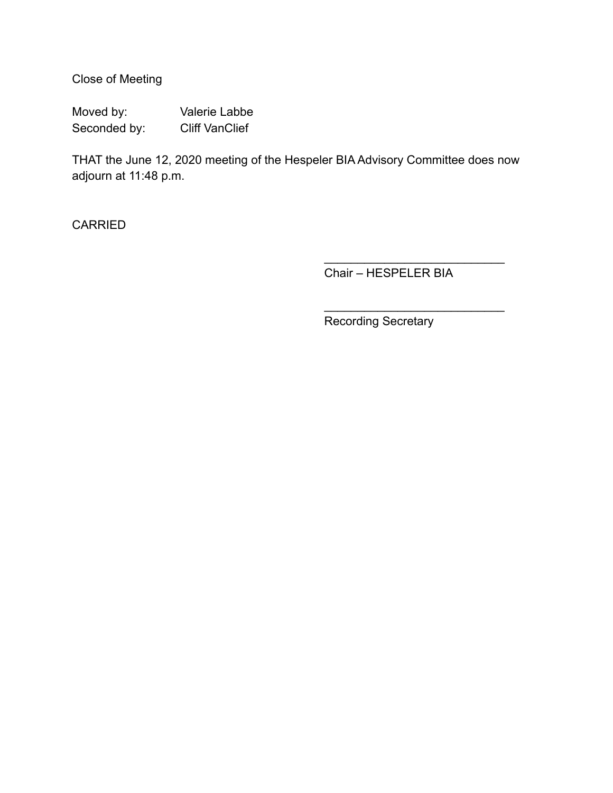Close of Meeting

Moved by: Valerie Labbe Seconded by: Cliff VanClief

THAT the June 12, 2020 meeting of the Hespeler BIA Advisory Committee does now adjourn at 11:48 p.m.

**CARRIED** 

Chair – HESPELER BIA

 $\frac{\partial u}{\partial x^2} = \frac{\partial u}{\partial y^2} + \frac{\partial u}{\partial z^2} + \frac{\partial u}{\partial z^2} + \frac{\partial u}{\partial z^2} + \frac{\partial u}{\partial z^2} + \frac{\partial u}{\partial z^2} + \frac{\partial u}{\partial z^2} + \frac{\partial u}{\partial z^2} + \frac{\partial u}{\partial z^2} + \frac{\partial u}{\partial z^2} + \frac{\partial u}{\partial z^2} + \frac{\partial u}{\partial z^2} + \frac{\partial u}{\partial z^2} + \frac{\partial u}{\partial z^2} + \frac{\partial u}{\partial z^2} + \frac{\partial u}{\partial z^2}$ 

 $\overline{\phantom{a}}$  , where  $\overline{\phantom{a}}$  , where  $\overline{\phantom{a}}$  , where  $\overline{\phantom{a}}$ 

Recording Secretary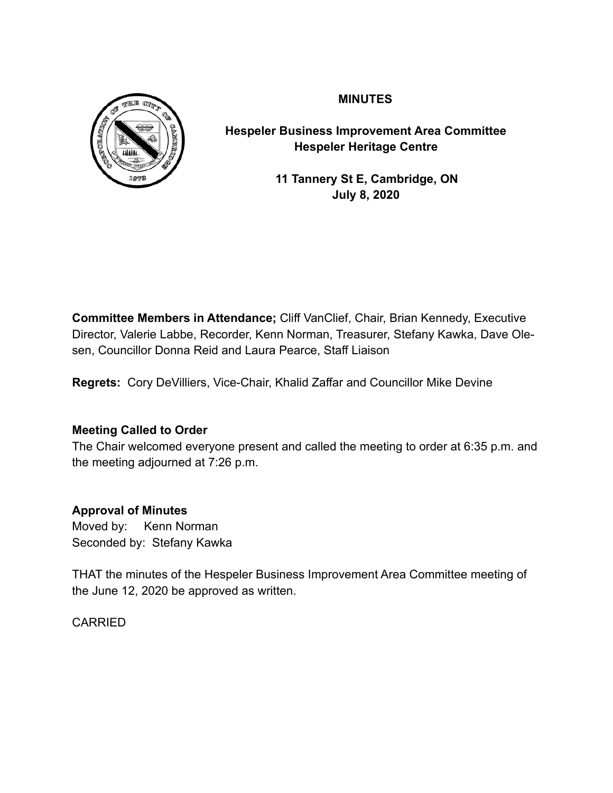

# **MINUTES**

**Hespeler Business Improvement Area Committee Hespeler Heritage Centre** 

> **11 Tannery St E, Cambridge, ON July 8, 2020**

**Committee Members in Attendance;** Cliff VanClief, Chair, Brian Kennedy, Executive Director, Valerie Labbe, Recorder, Kenn Norman, Treasurer, Stefany Kawka, Dave Olesen, Councillor Donna Reid and Laura Pearce, Staff Liaison

**Regrets:** Cory DeVilliers, Vice-Chair, Khalid Zaffar and Councillor Mike Devine

# **Meeting Called to Order**

The Chair welcomed everyone present and called the meeting to order at 6:35 p.m. and the meeting adjourned at 7:26 p.m.

# **Approval of Minutes**

Moved by: Kenn Norman Seconded by: Stefany Kawka

THAT the minutes of the Hespeler Business Improvement Area Committee meeting of the June 12, 2020 be approved as written.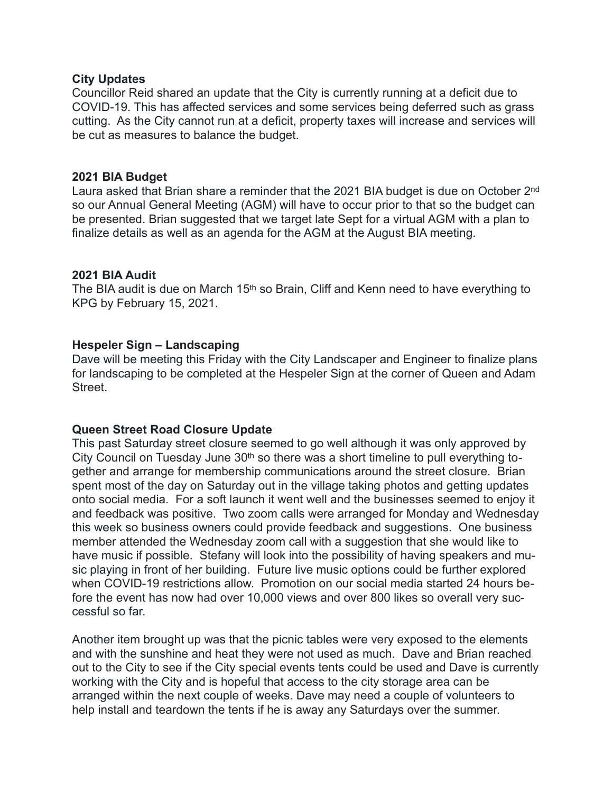#### **City Updates**

Councillor Reid shared an update that the City is currently running at a deficit due to COVID-19. This has affected services and some services being deferred such as grass cutting. As the City cannot run at a deficit, property taxes will increase and services will be cut as measures to balance the budget.

### **2021 BIA Budget**

Laura asked that Brian share a reminder that the 2021 BIA budget is due on October 2nd so our Annual General Meeting (AGM) will have to occur prior to that so the budget can be presented. Brian suggested that we target late Sept for a virtual AGM with a plan to finalize details as well as an agenda for the AGM at the August BIA meeting.

#### **2021 BIA Audit**

The BIA audit is due on March 15<sup>th</sup> so Brain, Cliff and Kenn need to have everything to KPG by February 15, 2021.

#### **Hespeler Sign – Landscaping**

Dave will be meeting this Friday with the City Landscaper and Engineer to finalize plans for landscaping to be completed at the Hespeler Sign at the corner of Queen and Adam **Street** 

### **Queen Street Road Closure Update**

This past Saturday street closure seemed to go well although it was only approved by City Council on Tuesday June 30<sup>th</sup> so there was a short timeline to pull everything together and arrange for membership communications around the street closure. Brian spent most of the day on Saturday out in the village taking photos and getting updates onto social media. For a soft launch it went well and the businesses seemed to enjoy it and feedback was positive. Two zoom calls were arranged for Monday and Wednesday this week so business owners could provide feedback and suggestions. One business member attended the Wednesday zoom call with a suggestion that she would like to have music if possible. Stefany will look into the possibility of having speakers and music playing in front of her building. Future live music options could be further explored when COVID-19 restrictions allow. Promotion on our social media started 24 hours before the event has now had over 10,000 views and over 800 likes so overall very successful so far.

Another item brought up was that the picnic tables were very exposed to the elements and with the sunshine and heat they were not used as much. Dave and Brian reached out to the City to see if the City special events tents could be used and Dave is currently working with the City and is hopeful that access to the city storage area can be arranged within the next couple of weeks. Dave may need a couple of volunteers to help install and teardown the tents if he is away any Saturdays over the summer.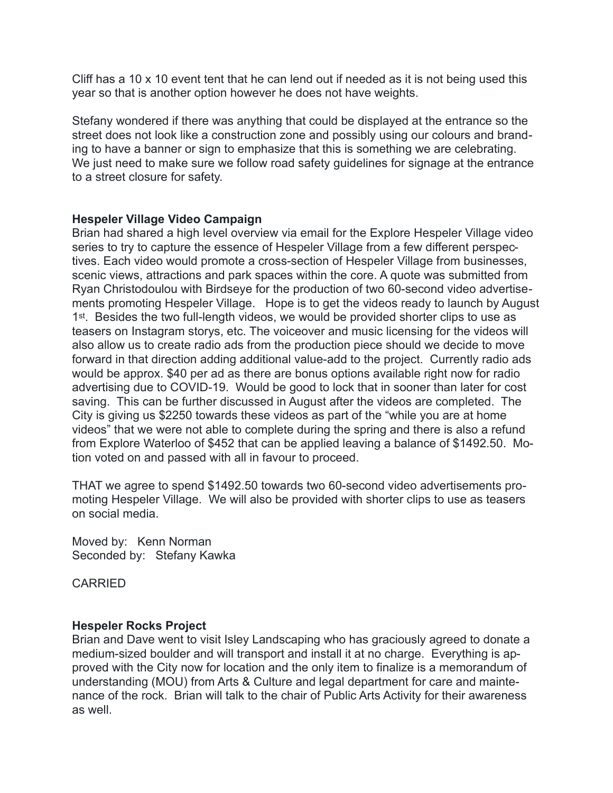Cliff has a 10 x 10 event tent that he can lend out if needed as it is not being used this year so that is another option however he does not have weights.

Stefany wondered if there was anything that could be displayed at the entrance so the street does not look like a construction zone and possibly using our colours and branding to have a banner or sign to emphasize that this is something we are celebrating. We just need to make sure we follow road safety guidelines for signage at the entrance to a street closure for safety.

### **Hespeler Village Video Campaign**

Brian had shared a high level overview via email for the Explore Hespeler Village video series to try to capture the essence of Hespeler Village from a few different perspectives. Each video would promote a cross-section of Hespeler Village from businesses, scenic views, attractions and park spaces within the core. A quote was submitted from Ryan Christodoulou with Birdseye for the production of two 60-second video advertisements promoting Hespeler Village. Hope is to get the videos ready to launch by August 1<sup>st</sup>. Besides the two full-length videos, we would be provided shorter clips to use as teasers on Instagram storys, etc. The voiceover and music licensing for the videos will also allow us to create radio ads from the production piece should we decide to move forward in that direction adding additional value-add to the project. Currently radio ads would be approx. \$40 per ad as there are bonus options available right now for radio advertising due to COVID-19. Would be good to lock that in sooner than later for cost saving. This can be further discussed in August after the videos are completed. The City is giving us \$2250 towards these videos as part of the "while you are at home videos" that we were not able to complete during the spring and there is also a refund from Explore Waterloo of \$452 that can be applied leaving a balance of \$1492.50. Motion voted on and passed with all in favour to proceed.

THAT we agree to spend \$1492.50 towards two 60-second video advertisements promoting Hespeler Village. We will also be provided with shorter clips to use as teasers on social media.

Moved by: Kenn Norman Seconded by: Stefany Kawka

CARRIED

### **Hespeler Rocks Project**

Brian and Dave went to visit Isley Landscaping who has graciously agreed to donate a medium-sized boulder and will transport and install it at no charge. Everything is approved with the City now for location and the only item to finalize is a memorandum of understanding (MOU) from Arts & Culture and legal department for care and maintenance of the rock. Brian will talk to the chair of Public Arts Activity for their awareness as well.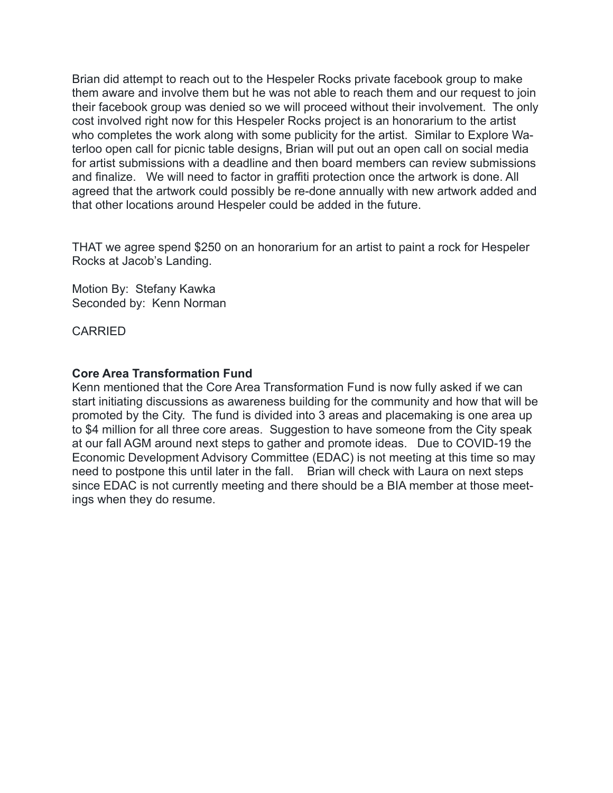Brian did attempt to reach out to the Hespeler Rocks private facebook group to make them aware and involve them but he was not able to reach them and our request to join their facebook group was denied so we will proceed without their involvement. The only cost involved right now for this Hespeler Rocks project is an honorarium to the artist who completes the work along with some publicity for the artist. Similar to Explore Waterloo open call for picnic table designs, Brian will put out an open call on social media for artist submissions with a deadline and then board members can review submissions and finalize. We will need to factor in graffiti protection once the artwork is done. All agreed that the artwork could possibly be re-done annually with new artwork added and that other locations around Hespeler could be added in the future.

THAT we agree spend \$250 on an honorarium for an artist to paint a rock for Hespeler Rocks at Jacob's Landing.

Motion By: Stefany Kawka Seconded by: Kenn Norman

CARRIED

## **Core Area Transformation Fund**

Kenn mentioned that the Core Area Transformation Fund is now fully asked if we can start initiating discussions as awareness building for the community and how that will be promoted by the City. The fund is divided into 3 areas and placemaking is one area up to \$4 million for all three core areas. Suggestion to have someone from the City speak at our fall AGM around next steps to gather and promote ideas. Due to COVID-19 the Economic Development Advisory Committee (EDAC) is not meeting at this time so may need to postpone this until later in the fall. Brian will check with Laura on next steps since EDAC is not currently meeting and there should be a BIA member at those meetings when they do resume.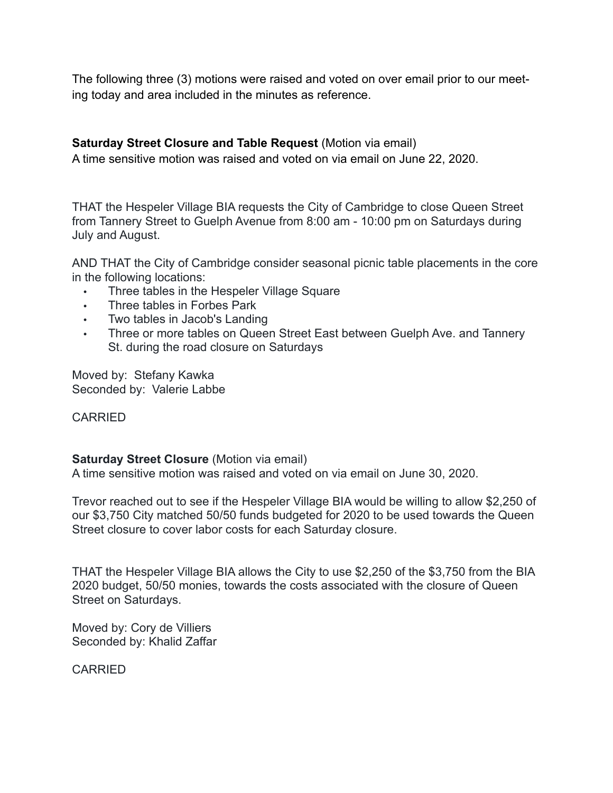The following three (3) motions were raised and voted on over email prior to our meeting today and area included in the minutes as reference.

# **Saturday Street Closure and Table Request** (Motion via email)

A time sensitive motion was raised and voted on via email on June 22, 2020.

THAT the Hespeler Village BIA requests the City of Cambridge to close Queen Street from Tannery Street to Guelph Avenue from 8:00 am - 10:00 pm on Saturdays during July and August.

AND THAT the City of Cambridge consider seasonal picnic table placements in the core in the following locations:

- **•** Three tables in the Hespeler Village Square
- **•** Three tables in Forbes Park
- **•** Two tables in Jacob's Landing<br>• Three or more tables on Ouee
- **•** Three or more tables on Queen Street East between Guelph Ave. and Tannery St. during the road closure on Saturdays

Moved by: Stefany Kawka Seconded by: Valerie Labbe

### CARRIED

### **Saturday Street Closure (Motion via email)**

A time sensitive motion was raised and voted on via email on June 30, 2020.

Trevor reached out to see if the Hespeler Village BIA would be willing to allow \$2,250 of our \$3,750 City matched 50/50 funds budgeted for 2020 to be used towards the Queen Street closure to cover labor costs for each Saturday closure.

THAT the Hespeler Village BIA allows the City to use \$2,250 of the \$3,750 from the BIA 2020 budget, 50/50 monies, towards the costs associated with the closure of Queen Street on Saturdays.

Moved by: Cory de Villiers Seconded by: Khalid Zaffar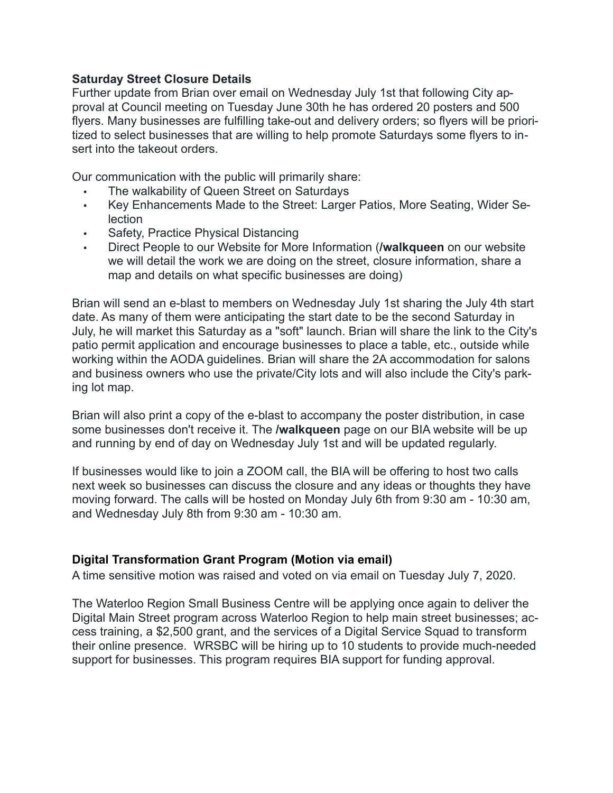### **Saturday Street Closure Details**

Further update from Brian over email on Wednesday July 1st that following City approval at Council meeting on Tuesday June 30th he has ordered 20 posters and 500 flyers. Many businesses are fulfilling take-out and delivery orders; so flyers will be prioritized to select businesses that are willing to help promote Saturdays some flyers to insert into the takeout orders.

Our communication with the public will primarily share:

- The walkability of Queen Street on Saturdays
- Key Enhancements Made to the Street: Larger Patios, More Seating, Wider Selection
- Safety, Practice Physical Distancing
- Direct People to our Website for More Information (**/walkqueen** on our website we will detail the work we are doing on the street, closure information, share a map and details on what specific businesses are doing)

Brian will send an e-blast to members on Wednesday July 1st sharing the July 4th start date. As many of them were anticipating the start date to be the second Saturday in July, he will market this Saturday as a "soft" launch. Brian will share the link to the City's patio permit application and encourage businesses to place a table, etc., outside while working within the AODA guidelines. Brian will share the 2A accommodation for salons and business owners who use the private/City lots and will also include the City's parking lot map.

Brian will also print a copy of the e-blast to accompany the poster distribution, in case some businesses don't receive it. The **/walkqueen** page on our BIA website will be up and running by end of day on Wednesday July 1st and will be updated regularly.

If businesses would like to join a ZOOM call, the BIA will be offering to host two calls next week so businesses can discuss the closure and any ideas or thoughts they have moving forward. The calls will be hosted on Monday July 6th from 9:30 am - 10:30 am, and Wednesday July 8th from 9:30 am - 10:30 am.

# **Digital Transformation Grant Program (Motion via email)**

A time sensitive motion was raised and voted on via email on Tuesday July 7, 2020.

The Waterloo Region Small Business Centre will be applying once again to deliver the Digital Main Street program across Waterloo Region to help main street businesses; access training, a \$2,500 grant, and the services of a Digital Service Squad to transform their online presence. WRSBC will be hiring up to 10 students to provide much-needed support for businesses. This program requires BIA support for funding approval.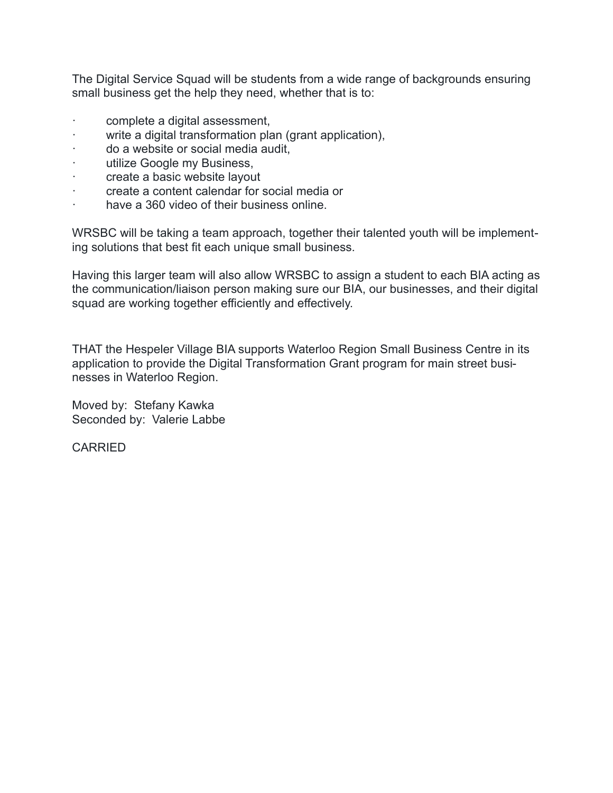The Digital Service Squad will be students from a wide range of backgrounds ensuring small business get the help they need, whether that is to:

- complete a digital assessment,
- · write a digital transformation plan (grant application),
- · do a website or social media audit,
- · utilize Google my Business,
- · create a basic website layout
- · create a content calendar for social media or
- · have a 360 video of their business online.

WRSBC will be taking a team approach, together their talented youth will be implementing solutions that best fit each unique small business.

Having this larger team will also allow WRSBC to assign a student to each BIA acting as the communication/liaison person making sure our BIA, our businesses, and their digital squad are working together efficiently and effectively.

THAT the Hespeler Village BIA supports Waterloo Region Small Business Centre in its application to provide the Digital Transformation Grant program for main street businesses in Waterloo Region.

Moved by: Stefany Kawka Seconded by: Valerie Labbe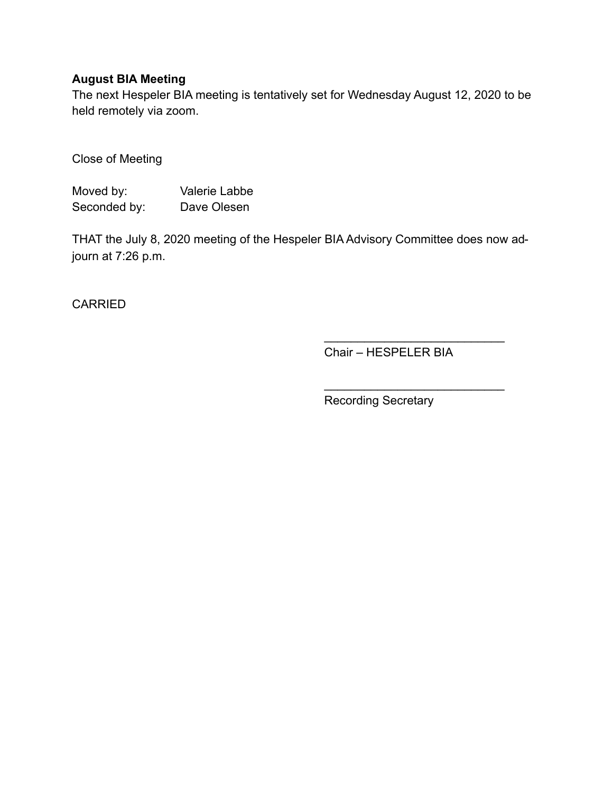# **August BIA Meeting**

The next Hespeler BIA meeting is tentatively set for Wednesday August 12, 2020 to be held remotely via zoom.

Close of Meeting

Moved by: Valerie Labbe Seconded by: Dave Olesen

THAT the July 8, 2020 meeting of the Hespeler BIA Advisory Committee does now adjourn at 7:26 p.m.

**CARRIED** 

Chair – HESPELER BIA

 $\frac{1}{\sqrt{2}}$  ,  $\frac{1}{\sqrt{2}}$  ,  $\frac{1}{\sqrt{2}}$  ,  $\frac{1}{\sqrt{2}}$  ,  $\frac{1}{\sqrt{2}}$  ,  $\frac{1}{\sqrt{2}}$  ,  $\frac{1}{\sqrt{2}}$  ,  $\frac{1}{\sqrt{2}}$  ,  $\frac{1}{\sqrt{2}}$  ,  $\frac{1}{\sqrt{2}}$  ,  $\frac{1}{\sqrt{2}}$  ,  $\frac{1}{\sqrt{2}}$  ,  $\frac{1}{\sqrt{2}}$  ,  $\frac{1}{\sqrt{2}}$  ,  $\frac{1}{\sqrt{2}}$ 

 $\mathcal{L}_\text{max}$  , where  $\mathcal{L}_\text{max}$  is the set of the set of the set of the set of the set of the set of the set of the set of the set of the set of the set of the set of the set of the set of the set of the set of the se

Recording Secretary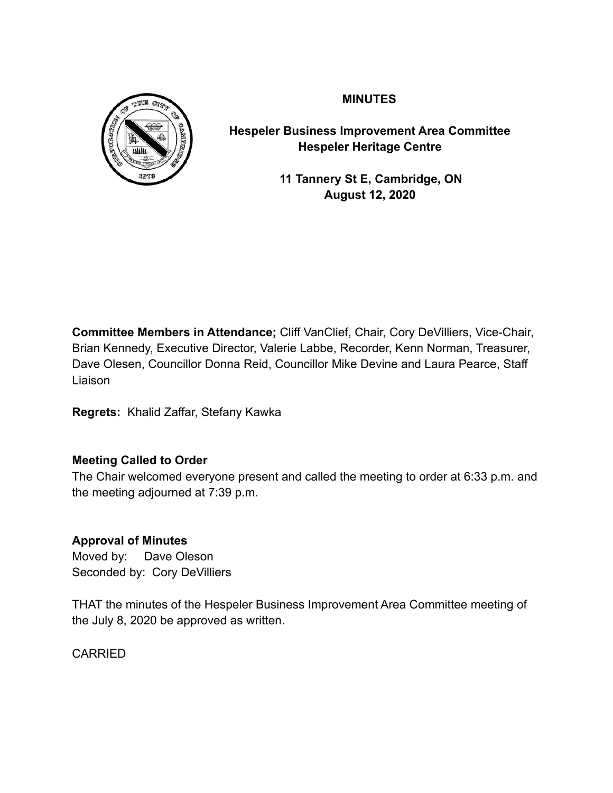

**MINUTES** 

**Hespeler Business Improvement Area Committee Hespeler Heritage Centre** 

> **11 Tannery St E, Cambridge, ON August 12, 2020**

**Committee Members in Attendance;** Cliff VanClief, Chair, Cory DeVilliers, Vice-Chair, Brian Kennedy, Executive Director, Valerie Labbe, Recorder, Kenn Norman, Treasurer, Dave Olesen, Councillor Donna Reid, Councillor Mike Devine and Laura Pearce, Staff Liaison

**Regrets:** Khalid Zaffar, Stefany Kawka

# **Meeting Called to Order**

The Chair welcomed everyone present and called the meeting to order at 6:33 p.m. and the meeting adjourned at 7:39 p.m.

# **Approval of Minutes**

Moved by: Dave Oleson Seconded by: Cory DeVilliers

THAT the minutes of the Hespeler Business Improvement Area Committee meeting of the July 8, 2020 be approved as written.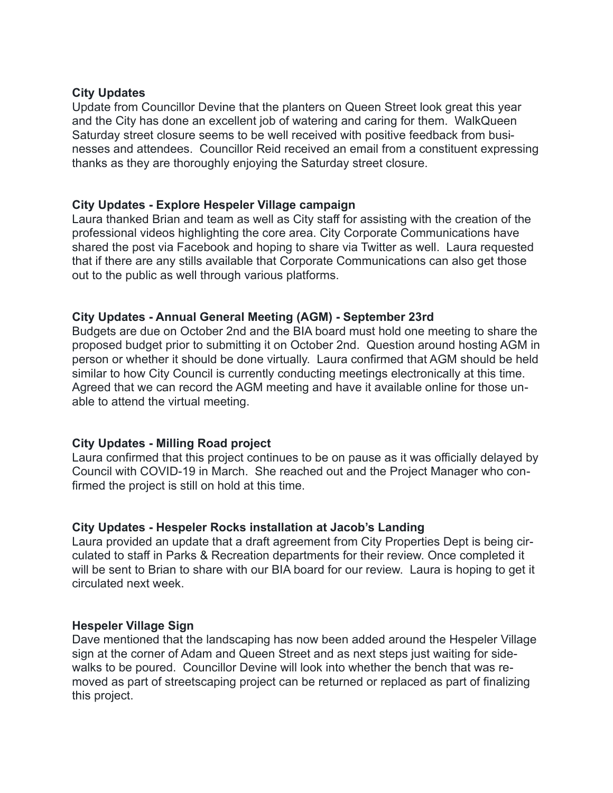#### **City Updates**

Update from Councillor Devine that the planters on Queen Street look great this year and the City has done an excellent job of watering and caring for them. WalkQueen Saturday street closure seems to be well received with positive feedback from businesses and attendees. Councillor Reid received an email from a constituent expressing thanks as they are thoroughly enjoying the Saturday street closure.

#### **City Updates - Explore Hespeler Village campaign**

Laura thanked Brian and team as well as City staff for assisting with the creation of the professional videos highlighting the core area. City Corporate Communications have shared the post via Facebook and hoping to share via Twitter as well. Laura requested that if there are any stills available that Corporate Communications can also get those out to the public as well through various platforms.

### **City Updates - Annual General Meeting (AGM) - September 23rd**

Budgets are due on October 2nd and the BIA board must hold one meeting to share the proposed budget prior to submitting it on October 2nd. Question around hosting AGM in person or whether it should be done virtually. Laura confirmed that AGM should be held similar to how City Council is currently conducting meetings electronically at this time. Agreed that we can record the AGM meeting and have it available online for those unable to attend the virtual meeting.

### **City Updates - Milling Road project**

Laura confirmed that this project continues to be on pause as it was officially delayed by Council with COVID-19 in March. She reached out and the Project Manager who confirmed the project is still on hold at this time.

#### **City Updates - Hespeler Rocks installation at Jacob's Landing**

Laura provided an update that a draft agreement from City Properties Dept is being circulated to staff in Parks & Recreation departments for their review. Once completed it will be sent to Brian to share with our BIA board for our review. Laura is hoping to get it circulated next week.

#### **Hespeler Village Sign**

Dave mentioned that the landscaping has now been added around the Hespeler Village sign at the corner of Adam and Queen Street and as next steps just waiting for sidewalks to be poured. Councillor Devine will look into whether the bench that was removed as part of streetscaping project can be returned or replaced as part of finalizing this project.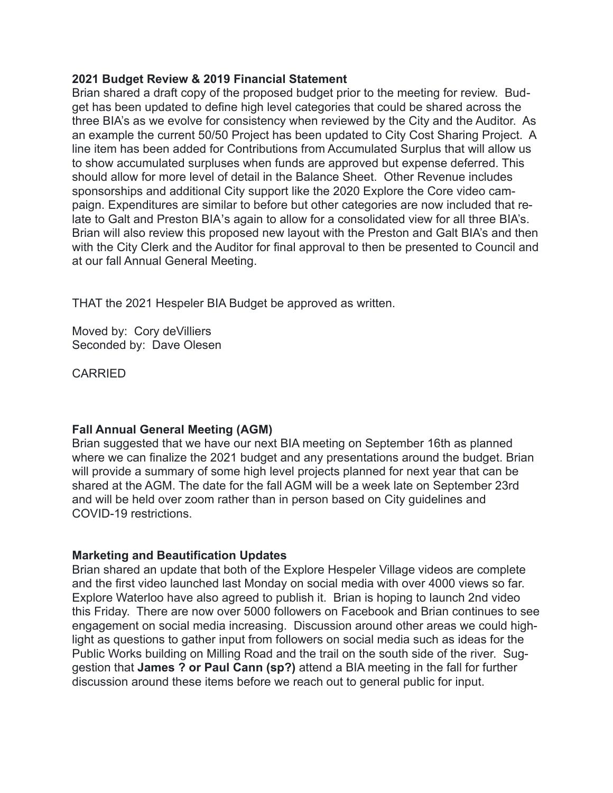### **2021 Budget Review & 2019 Financial Statement**

Brian shared a draft copy of the proposed budget prior to the meeting for review. Budget has been updated to define high level categories that could be shared across the three BIA's as we evolve for consistency when reviewed by the City and the Auditor. As an example the current 50/50 Project has been updated to City Cost Sharing Project. A line item has been added for Contributions from Accumulated Surplus that will allow us to show accumulated surpluses when funds are approved but expense deferred. This should allow for more level of detail in the Balance Sheet. Other Revenue includes sponsorships and additional City support like the 2020 Explore the Core video campaign. Expenditures are similar to before but other categories are now included that relate to Galt and Preston BIA's again to allow for a consolidated view for all three BIA's. Brian will also review this proposed new layout with the Preston and Galt BIA's and then with the City Clerk and the Auditor for final approval to then be presented to Council and at our fall Annual General Meeting.

THAT the 2021 Hespeler BIA Budget be approved as written.

Moved by: Cory deVilliers Seconded by: Dave Olesen

**CARRIED** 

### **Fall Annual General Meeting (AGM)**

Brian suggested that we have our next BIA meeting on September 16th as planned where we can finalize the 2021 budget and any presentations around the budget. Brian will provide a summary of some high level projects planned for next year that can be shared at the AGM. The date for the fall AGM will be a week late on September 23rd and will be held over zoom rather than in person based on City guidelines and COVID-19 restrictions.

### **Marketing and Beautification Updates**

Brian shared an update that both of the Explore Hespeler Village videos are complete and the first video launched last Monday on social media with over 4000 views so far. Explore Waterloo have also agreed to publish it. Brian is hoping to launch 2nd video this Friday. There are now over 5000 followers on Facebook and Brian continues to see engagement on social media increasing. Discussion around other areas we could highlight as questions to gather input from followers on social media such as ideas for the Public Works building on Milling Road and the trail on the south side of the river. Suggestion that **James ? or Paul Cann (sp?)** attend a BIA meeting in the fall for further discussion around these items before we reach out to general public for input.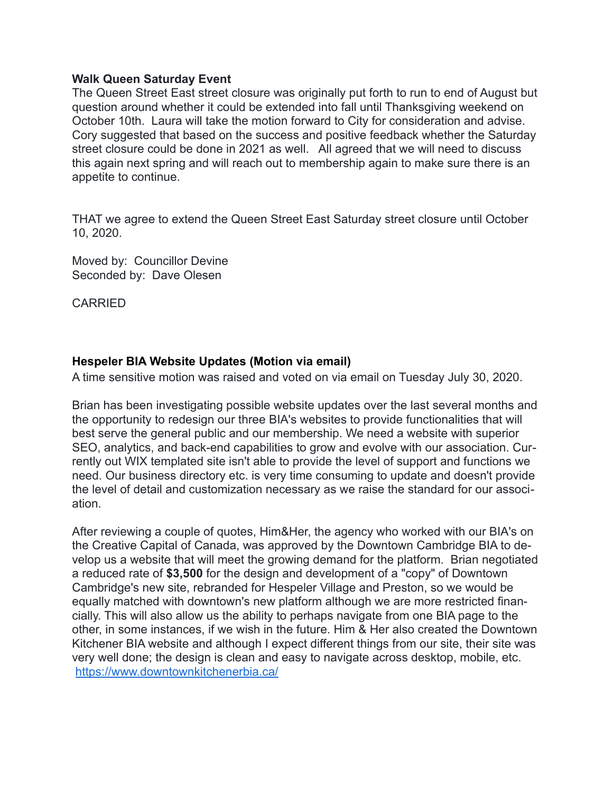#### **Walk Queen Saturday Event**

The Queen Street East street closure was originally put forth to run to end of August but question around whether it could be extended into fall until Thanksgiving weekend on October 10th. Laura will take the motion forward to City for consideration and advise. Cory suggested that based on the success and positive feedback whether the Saturday street closure could be done in 2021 as well. All agreed that we will need to discuss this again next spring and will reach out to membership again to make sure there is an appetite to continue.

THAT we agree to extend the Queen Street East Saturday street closure until October 10, 2020.

Moved by: Councillor Devine Seconded by: Dave Olesen

**CARRIED** 

### **Hespeler BIA Website Updates (Motion via email)**

A time sensitive motion was raised and voted on via email on Tuesday July 30, 2020.

Brian has been investigating possible website updates over the last several months and the opportunity to redesign our three BIA's websites to provide functionalities that will best serve the general public and our membership. We need a website with superior SEO, analytics, and back-end capabilities to grow and evolve with our association. Currently out WIX templated site isn't able to provide the level of support and functions we need. Our business directory etc. is very time consuming to update and doesn't provide the level of detail and customization necessary as we raise the standard for our association.

After reviewing a couple of quotes, Him&Her, the agency who worked with our BIA's on the Creative Capital of Canada, was approved by the Downtown Cambridge BIA to develop us a website that will meet the growing demand for the platform. Brian negotiated a reduced rate of **\$3,500** for the design and development of a "copy" of Downtown Cambridge's new site, rebranded for Hespeler Village and Preston, so we would be equally matched with downtown's new platform although we are more restricted financially. This will also allow us the ability to perhaps navigate from one BIA page to the other, in some instances, if we wish in the future. Him & Her also created the Downtown Kitchener BIA website and although I expect different things from our site, their site was very well done; the design is clean and easy to navigate across desktop, mobile, etc. <https://www.downtownkitchenerbia.ca/>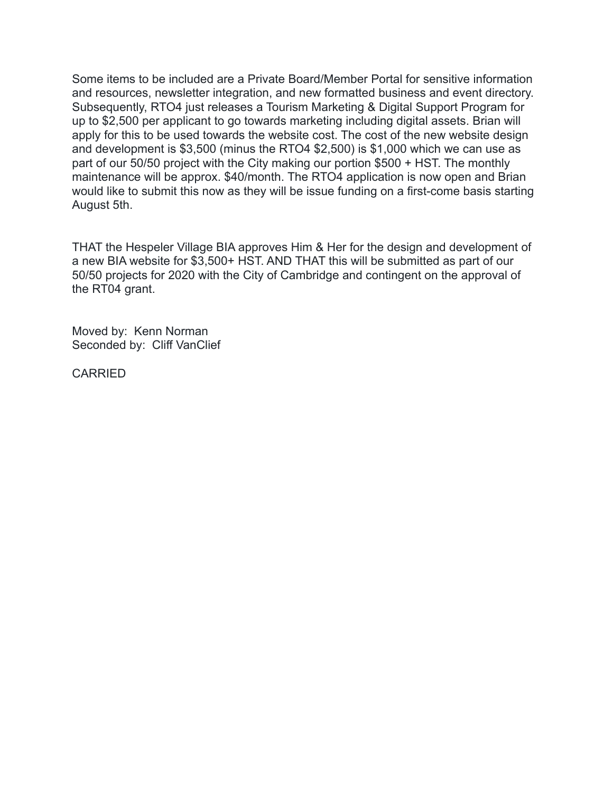Some items to be included are a Private Board/Member Portal for sensitive information and resources, newsletter integration, and new formatted business and event directory. Subsequently, RTO4 just releases a Tourism Marketing & Digital Support Program for up to \$2,500 per applicant to go towards marketing including digital assets. Brian will apply for this to be used towards the website cost. The cost of the new website design and development is \$3,500 (minus the RTO4 \$2,500) is \$1,000 which we can use as part of our 50/50 project with the City making our portion \$500 + HST. The monthly maintenance will be approx. \$40/month. The RTO4 application is now open and Brian would like to submit this now as they will be issue funding on a first-come basis starting August 5th.

THAT the Hespeler Village BIA approves Him & Her for the design and development of a new BIA website for \$3,500+ HST. AND THAT this will be submitted as part of our 50/50 projects for 2020 with the City of Cambridge and contingent on the approval of the RT04 grant.

Moved by: Kenn Norman Seconded by: Cliff VanClief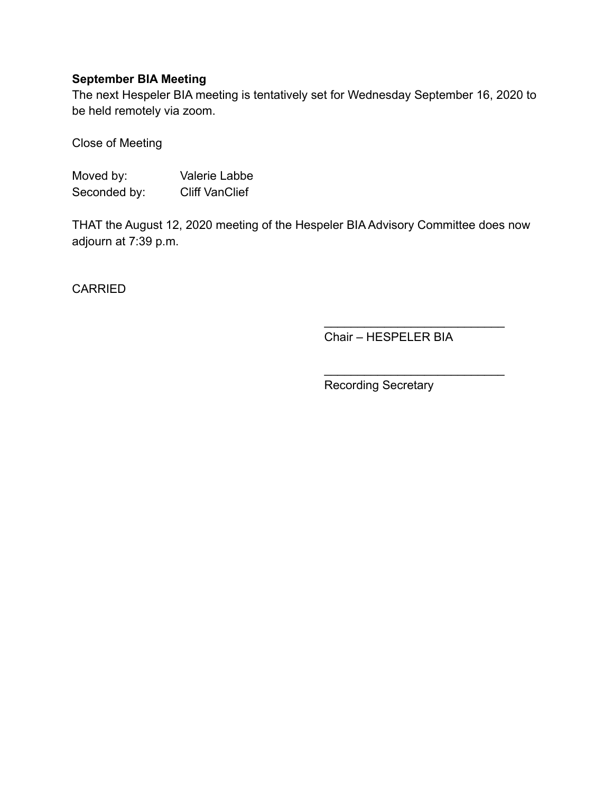# **September BIA Meeting**

The next Hespeler BIA meeting is tentatively set for Wednesday September 16, 2020 to be held remotely via zoom.

Close of Meeting

Moved by: Valerie Labbe Seconded by: Cliff VanClief

THAT the August 12, 2020 meeting of the Hespeler BIA Advisory Committee does now adjourn at 7:39 p.m.

CARRIED

Chair – HESPELER BIA

 $\frac{1}{\sqrt{2}}$  ,  $\frac{1}{\sqrt{2}}$  ,  $\frac{1}{\sqrt{2}}$  ,  $\frac{1}{\sqrt{2}}$  ,  $\frac{1}{\sqrt{2}}$  ,  $\frac{1}{\sqrt{2}}$  ,  $\frac{1}{\sqrt{2}}$  ,  $\frac{1}{\sqrt{2}}$  ,  $\frac{1}{\sqrt{2}}$  ,  $\frac{1}{\sqrt{2}}$  ,  $\frac{1}{\sqrt{2}}$  ,  $\frac{1}{\sqrt{2}}$  ,  $\frac{1}{\sqrt{2}}$  ,  $\frac{1}{\sqrt{2}}$  ,  $\frac{1}{\sqrt{2}}$ 

 $\mathcal{L}_\text{max}$  , where  $\mathcal{L}_\text{max}$  is the set of the set of the set of the set of the set of the set of the set of the set of the set of the set of the set of the set of the set of the set of the set of the set of the se

Recording Secretary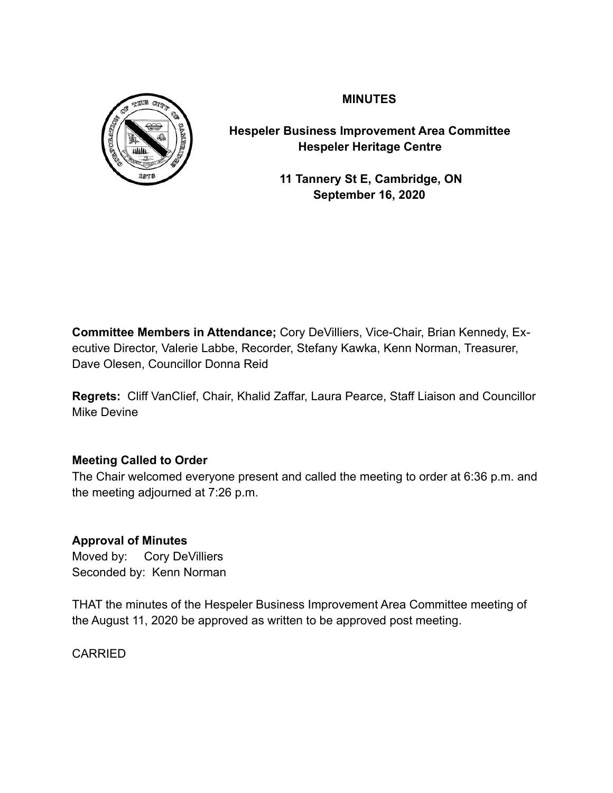

**MINUTES** 

**Hespeler Business Improvement Area Committee Hespeler Heritage Centre** 

> **11 Tannery St E, Cambridge, ON September 16, 2020**

**Committee Members in Attendance;** Cory DeVilliers, Vice-Chair, Brian Kennedy, Executive Director, Valerie Labbe, Recorder, Stefany Kawka, Kenn Norman, Treasurer, Dave Olesen, Councillor Donna Reid

**Regrets:** Cliff VanClief, Chair, Khalid Zaffar, Laura Pearce, Staff Liaison and Councillor Mike Devine

# **Meeting Called to Order**

The Chair welcomed everyone present and called the meeting to order at 6:36 p.m. and the meeting adjourned at 7:26 p.m.

# **Approval of Minutes**

Moved by: Cory DeVilliers Seconded by: Kenn Norman

THAT the minutes of the Hespeler Business Improvement Area Committee meeting of the August 11, 2020 be approved as written to be approved post meeting.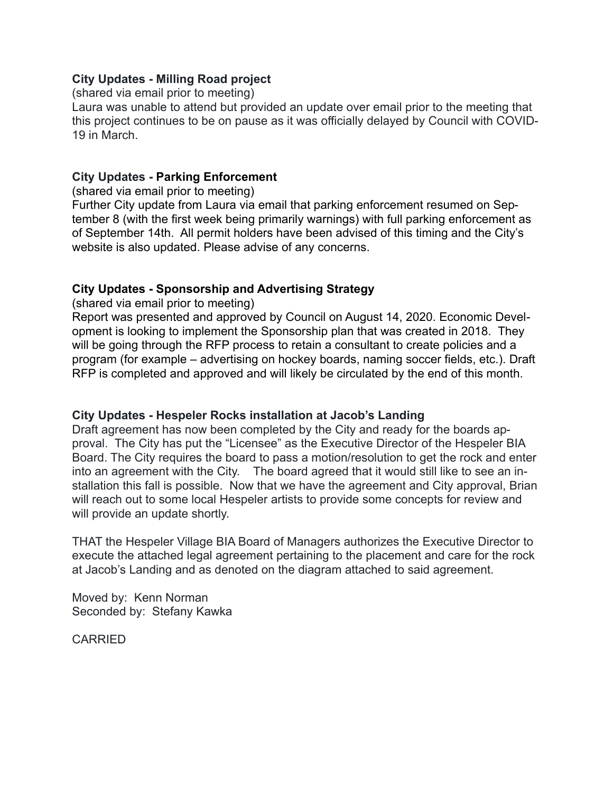## **City Updates - Milling Road project**

(shared via email prior to meeting)

Laura was unable to attend but provided an update over email prior to the meeting that this project continues to be on pause as it was officially delayed by Council with COVID-19 in March.

## **City Updates - Parking Enforcement**

(shared via email prior to meeting)

Further City update from Laura via email that parking enforcement resumed on September 8 (with the first week being primarily warnings) with full parking enforcement as of September 14th. All permit holders have been advised of this timing and the City's website is also updated. Please advise of any concerns.

## **City Updates - Sponsorship and Advertising Strategy**

(shared via email prior to meeting)

Report was presented and approved by Council on August 14, 2020. Economic Development is looking to implement the Sponsorship plan that was created in 2018. They will be going through the RFP process to retain a consultant to create policies and a program (for example – advertising on hockey boards, naming soccer fields, etc.). Draft RFP is completed and approved and will likely be circulated by the end of this month.

### **City Updates - Hespeler Rocks installation at Jacob's Landing**

Draft agreement has now been completed by the City and ready for the boards approval. The City has put the "Licensee" as the Executive Director of the Hespeler BIA Board. The City requires the board to pass a motion/resolution to get the rock and enter into an agreement with the City. The board agreed that it would still like to see an installation this fall is possible. Now that we have the agreement and City approval, Brian will reach out to some local Hespeler artists to provide some concepts for review and will provide an update shortly.

THAT the Hespeler Village BIA Board of Managers authorizes the Executive Director to execute the attached legal agreement pertaining to the placement and care for the rock at Jacob's Landing and as denoted on the diagram attached to said agreement.

Moved by: Kenn Norman Seconded by: Stefany Kawka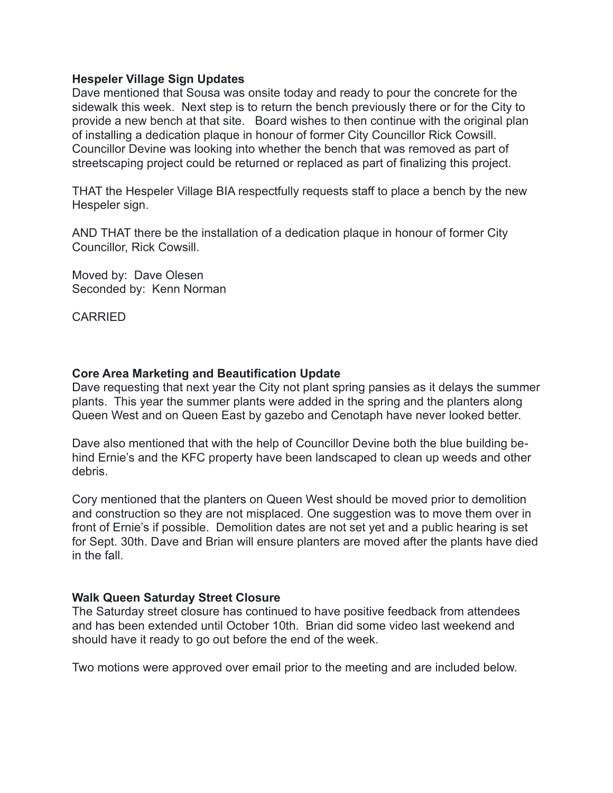#### **Hespeler Village Sign Updates**

Dave mentioned that Sousa was onsite today and ready to pour the concrete for the sidewalk this week. Next step is to return the bench previously there or for the City to provide a new bench at that site. Board wishes to then continue with the original plan of installing a dedication plaque in honour of former City Councillor Rick Cowsill. Councillor Devine was looking into whether the bench that was removed as part of streetscaping project could be returned or replaced as part of finalizing this project.

THAT the Hespeler Village BIA respectfully requests staff to place a bench by the new Hespeler sign.

AND THAT there be the installation of a dedication plaque in honour of former City Councillor, Rick Cowsill.

Moved by: Dave Olesen Seconded by: Kenn Norman

CARRIED

### **Core Area Marketing and Beautification Update**

Dave requesting that next year the City not plant spring pansies as it delays the summer plants. This year the summer plants were added in the spring and the planters along Queen West and on Queen East by gazebo and Cenotaph have never looked better.

Dave also mentioned that with the help of Councillor Devine both the blue building behind Ernie's and the KFC property have been landscaped to clean up weeds and other debris.

Cory mentioned that the planters on Queen West should be moved prior to demolition and construction so they are not misplaced. One suggestion was to move them over in front of Ernie's if possible. Demolition dates are not set yet and a public hearing is set for Sept. 30th. Dave and Brian will ensure planters are moved after the plants have died in the fall

### **Walk Queen Saturday Street Closure**

The Saturday street closure has continued to have positive feedback from attendees and has been extended until October 10th. Brian did some video last weekend and should have it ready to go out before the end of the week.

Two motions were approved over email prior to the meeting and are included below.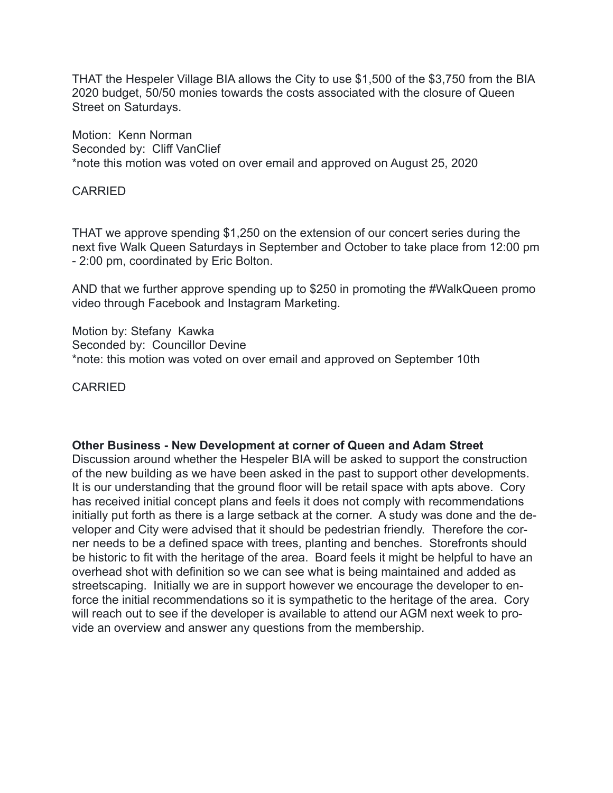THAT the Hespeler Village BIA allows the City to use \$1,500 of the \$3,750 from the BIA 2020 budget, 50/50 monies towards the costs associated with the closure of Queen Street on Saturdays.

Motion: Kenn Norman Seconded by: Cliff VanClief \*note this motion was voted on over email and approved on August 25, 2020

#### CARRIED

THAT we approve spending \$1,250 on the extension of our concert series during the next five Walk Queen Saturdays in September and October to take place from 12:00 pm - 2:00 pm, coordinated by Eric Bolton.

AND that we further approve spending up to \$250 in promoting the #WalkQueen promo video through Facebook and Instagram Marketing.

Motion by: Stefany Kawka Seconded by: Councillor Devine \*note: this motion was voted on over email and approved on September 10th

CARRIED

#### **Other Business - New Development at corner of Queen and Adam Street**

Discussion around whether the Hespeler BIA will be asked to support the construction of the new building as we have been asked in the past to support other developments. It is our understanding that the ground floor will be retail space with apts above. Cory has received initial concept plans and feels it does not comply with recommendations initially put forth as there is a large setback at the corner. A study was done and the developer and City were advised that it should be pedestrian friendly. Therefore the corner needs to be a defined space with trees, planting and benches. Storefronts should be historic to fit with the heritage of the area. Board feels it might be helpful to have an overhead shot with definition so we can see what is being maintained and added as streetscaping. Initially we are in support however we encourage the developer to enforce the initial recommendations so it is sympathetic to the heritage of the area. Cory will reach out to see if the developer is available to attend our AGM next week to provide an overview and answer any questions from the membership.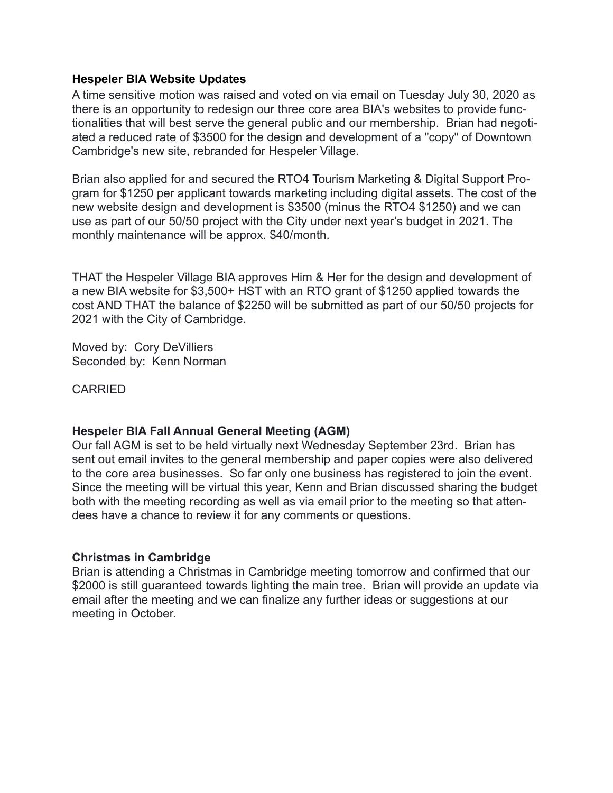#### **Hespeler BIA Website Updates**

A time sensitive motion was raised and voted on via email on Tuesday July 30, 2020 as there is an opportunity to redesign our three core area BIA's websites to provide functionalities that will best serve the general public and our membership. Brian had negotiated a reduced rate of \$3500 for the design and development of a "copy" of Downtown Cambridge's new site, rebranded for Hespeler Village.

Brian also applied for and secured the RTO4 Tourism Marketing & Digital Support Program for \$1250 per applicant towards marketing including digital assets. The cost of the new website design and development is \$3500 (minus the RTO4 \$1250) and we can use as part of our 50/50 project with the City under next year's budget in 2021. The monthly maintenance will be approx. \$40/month.

THAT the Hespeler Village BIA approves Him & Her for the design and development of a new BIA website for \$3,500+ HST with an RTO grant of \$1250 applied towards the cost AND THAT the balance of \$2250 will be submitted as part of our 50/50 projects for 2021 with the City of Cambridge.

Moved by: Cory DeVilliers Seconded by: Kenn Norman

CARRIED

### **Hespeler BIA Fall Annual General Meeting (AGM)**

Our fall AGM is set to be held virtually next Wednesday September 23rd. Brian has sent out email invites to the general membership and paper copies were also delivered to the core area businesses. So far only one business has registered to join the event. Since the meeting will be virtual this year, Kenn and Brian discussed sharing the budget both with the meeting recording as well as via email prior to the meeting so that attendees have a chance to review it for any comments or questions.

#### **Christmas in Cambridge**

Brian is attending a Christmas in Cambridge meeting tomorrow and confirmed that our \$2000 is still guaranteed towards lighting the main tree. Brian will provide an update via email after the meeting and we can finalize any further ideas or suggestions at our meeting in October.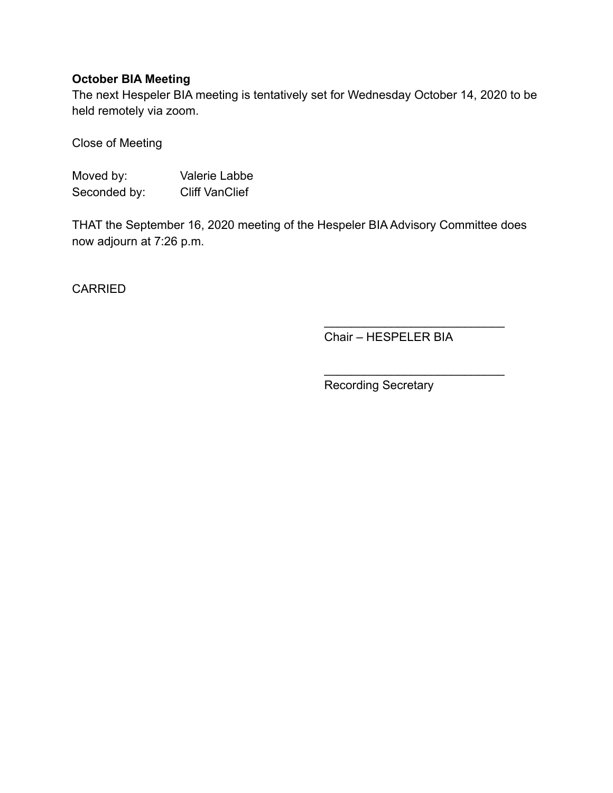# **October BIA Meeting**

The next Hespeler BIA meeting is tentatively set for Wednesday October 14, 2020 to be held remotely via zoom.

Close of Meeting

Moved by: Valerie Labbe Seconded by: Cliff VanClief

THAT the September 16, 2020 meeting of the Hespeler BIA Advisory Committee does now adjourn at 7:26 p.m.

CARRIED

Chair – HESPELER BIA

 $\frac{1}{\sqrt{2}}$  ,  $\frac{1}{\sqrt{2}}$  ,  $\frac{1}{\sqrt{2}}$  ,  $\frac{1}{\sqrt{2}}$  ,  $\frac{1}{\sqrt{2}}$  ,  $\frac{1}{\sqrt{2}}$  ,  $\frac{1}{\sqrt{2}}$  ,  $\frac{1}{\sqrt{2}}$  ,  $\frac{1}{\sqrt{2}}$  ,  $\frac{1}{\sqrt{2}}$  ,  $\frac{1}{\sqrt{2}}$  ,  $\frac{1}{\sqrt{2}}$  ,  $\frac{1}{\sqrt{2}}$  ,  $\frac{1}{\sqrt{2}}$  ,  $\frac{1}{\sqrt{2}}$ 

 $\mathcal{L}_\text{max}$  , where  $\mathcal{L}_\text{max}$  is the set of the set of the set of the set of the set of the set of the set of the set of the set of the set of the set of the set of the set of the set of the set of the set of the se

Recording Secretary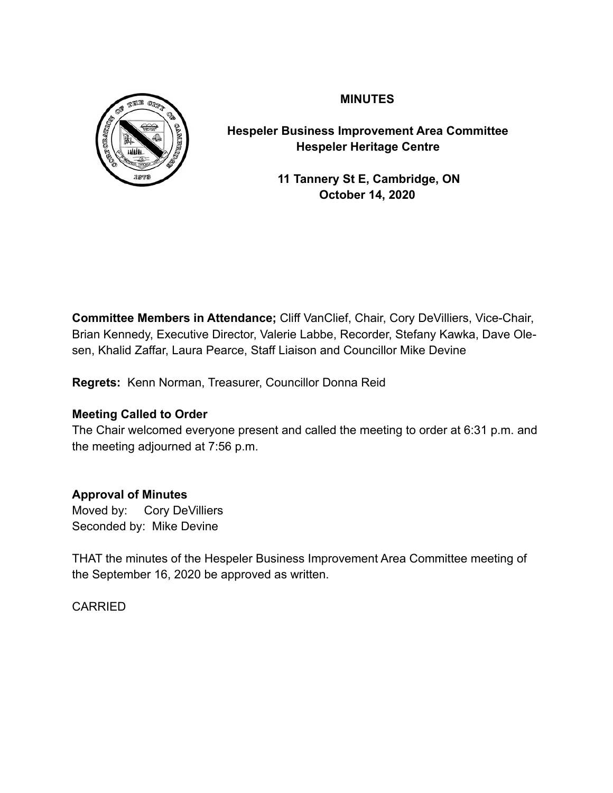

# **MINUTES**

**Hespeler Business Improvement Area Committee Hespeler Heritage Centre** 

> **11 Tannery St E, Cambridge, ON October 14, 2020**

**Committee Members in Attendance;** Cliff VanClief, Chair, Cory DeVilliers, Vice-Chair, Brian Kennedy, Executive Director, Valerie Labbe, Recorder, Stefany Kawka, Dave Olesen, Khalid Zaffar, Laura Pearce, Staff Liaison and Councillor Mike Devine

**Regrets:** Kenn Norman, Treasurer, Councillor Donna Reid

# **Meeting Called to Order**

The Chair welcomed everyone present and called the meeting to order at 6:31 p.m. and the meeting adjourned at 7:56 p.m.

# **Approval of Minutes**

Moved by: Cory DeVilliers Seconded by: Mike Devine

THAT the minutes of the Hespeler Business Improvement Area Committee meeting of the September 16, 2020 be approved as written.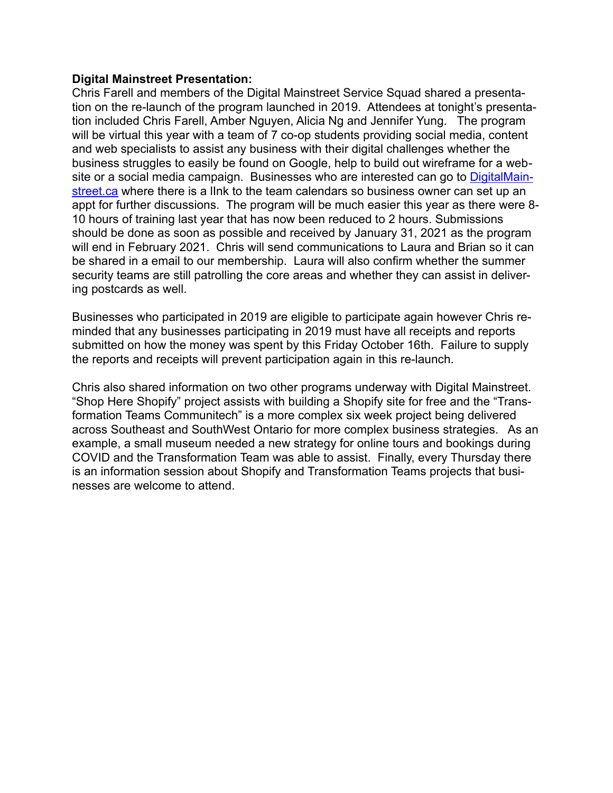#### **Digital Mainstreet Presentation:**

Chris Farell and members of the Digital Mainstreet Service Squad shared a presentation on the re-launch of the program launched in 2019. Attendees at tonight's presentation included Chris Farell, Amber Nguyen, Alicia Ng and Jennifer Yung. The program will be virtual this year with a team of 7 co-op students providing social media, content and web specialists to assist any business with their digital challenges whether the business struggles to easily be found on Google, help to build out wireframe for a web-site or a social media campaign. Businesses who are interested can go to [DigitalMain](http://DigitalMainstreet.ca)[street.ca](http://DigitalMainstreet.ca) where there is a lInk to the team calendars so business owner can set up an appt for further discussions. The program will be much easier this year as there were 8- 10 hours of training last year that has now been reduced to 2 hours. Submissions should be done as soon as possible and received by January 31, 2021 as the program will end in February 2021. Chris will send communications to Laura and Brian so it can be shared in a email to our membership. Laura will also confirm whether the summer security teams are still patrolling the core areas and whether they can assist in delivering postcards as well.

Businesses who participated in 2019 are eligible to participate again however Chris reminded that any businesses participating in 2019 must have all receipts and reports submitted on how the money was spent by this Friday October 16th. Failure to supply the reports and receipts will prevent participation again in this re-launch.

Chris also shared information on two other programs underway with Digital Mainstreet. "Shop Here Shopify" project assists with building a Shopify site for free and the "Transformation Teams Communitech" is a more complex six week project being delivered across Southeast and SouthWest Ontario for more complex business strategies. As an example, a small museum needed a new strategy for online tours and bookings during COVID and the Transformation Team was able to assist. Finally, every Thursday there is an information session about Shopify and Transformation Teams projects that businesses are welcome to attend.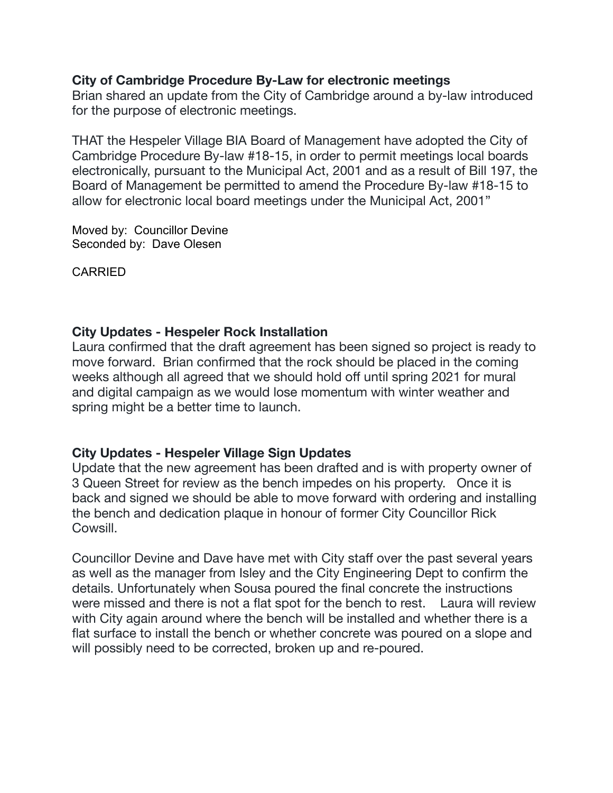# **City of Cambridge Procedure By-Law for electronic meetings**

Brian shared an update from the City of Cambridge around a by-law introduced for the purpose of electronic meetings.

THAT the Hespeler Village BIA Board of Management have adopted the City of Cambridge Procedure By-law #18-15, in order to permit meetings local boards electronically, pursuant to the Municipal Act, 2001 and as a result of Bill 197, the Board of Management be permitted to amend the Procedure By-law #18-15 to allow for electronic local board meetings under the Municipal Act, 2001"

Moved by: Councillor Devine Seconded by: Dave Olesen

CARRIED

# **City Updates - Hespeler Rock Installation**

Laura confirmed that the draft agreement has been signed so project is ready to move forward. Brian confirmed that the rock should be placed in the coming weeks although all agreed that we should hold off until spring 2021 for mural and digital campaign as we would lose momentum with winter weather and spring might be a better time to launch.

# **City Updates - Hespeler Village Sign Updates**

Update that the new agreement has been drafted and is with property owner of 3 Queen Street for review as the bench impedes on his property. Once it is back and signed we should be able to move forward with ordering and installing the bench and dedication plaque in honour of former City Councillor Rick Cowsill.

Councillor Devine and Dave have met with City staff over the past several years as well as the manager from Isley and the City Engineering Dept to confirm the details. Unfortunately when Sousa poured the final concrete the instructions were missed and there is not a flat spot for the bench to rest. Laura will review with City again around where the bench will be installed and whether there is a flat surface to install the bench or whether concrete was poured on a slope and will possibly need to be corrected, broken up and re-poured.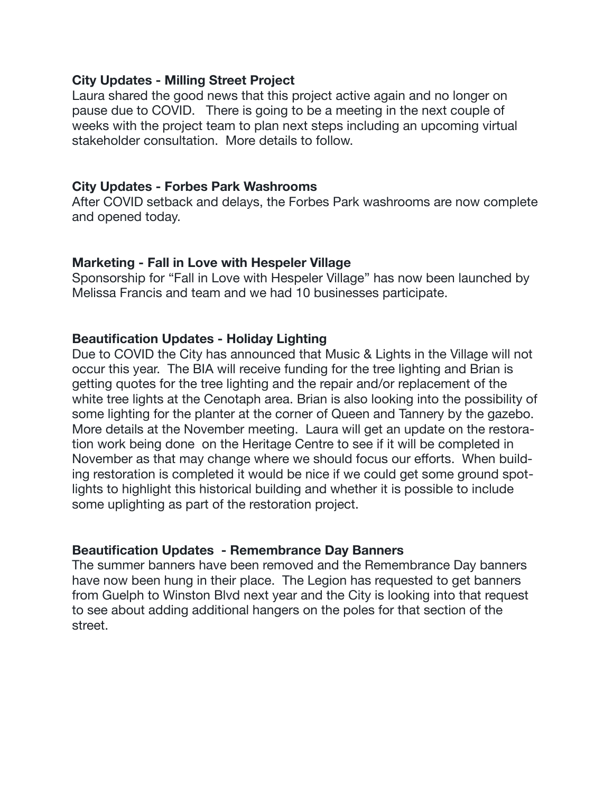## **City Updates - Milling Street Project**

Laura shared the good news that this project active again and no longer on pause due to COVID. There is going to be a meeting in the next couple of weeks with the project team to plan next steps including an upcoming virtual stakeholder consultation. More details to follow.

## **City Updates - Forbes Park Washrooms**

After COVID setback and delays, the Forbes Park washrooms are now complete and opened today.

## **Marketing - Fall in Love with Hespeler Village**

Sponsorship for "Fall in Love with Hespeler Village" has now been launched by Melissa Francis and team and we had 10 businesses participate.

# **Beautification Updates - Holiday Lighting**

Due to COVID the City has announced that Music & Lights in the Village will not occur this year. The BIA will receive funding for the tree lighting and Brian is getting quotes for the tree lighting and the repair and/or replacement of the white tree lights at the Cenotaph area. Brian is also looking into the possibility of some lighting for the planter at the corner of Queen and Tannery by the gazebo. More details at the November meeting. Laura will get an update on the restoration work being done on the Heritage Centre to see if it will be completed in November as that may change where we should focus our efforts. When building restoration is completed it would be nice if we could get some ground spotlights to highlight this historical building and whether it is possible to include some uplighting as part of the restoration project.

# **Beautification Updates - Remembrance Day Banners**

The summer banners have been removed and the Remembrance Day banners have now been hung in their place. The Legion has requested to get banners from Guelph to Winston Blvd next year and the City is looking into that request to see about adding additional hangers on the poles for that section of the street.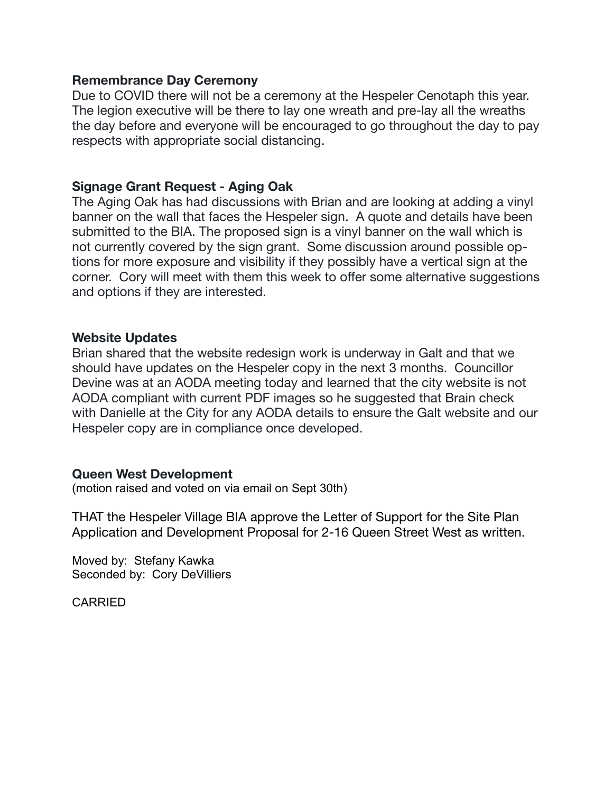### **Remembrance Day Ceremony**

Due to COVID there will not be a ceremony at the Hespeler Cenotaph this year. The legion executive will be there to lay one wreath and pre-lay all the wreaths the day before and everyone will be encouraged to go throughout the day to pay respects with appropriate social distancing.

## **Signage Grant Request - Aging Oak**

The Aging Oak has had discussions with Brian and are looking at adding a vinyl banner on the wall that faces the Hespeler sign. A quote and details have been submitted to the BIA. The proposed sign is a vinyl banner on the wall which is not currently covered by the sign grant. Some discussion around possible options for more exposure and visibility if they possibly have a vertical sign at the corner. Cory will meet with them this week to offer some alternative suggestions and options if they are interested.

## **Website Updates**

Brian shared that the website redesign work is underway in Galt and that we should have updates on the Hespeler copy in the next 3 months. Councillor Devine was at an AODA meeting today and learned that the city website is not AODA compliant with current PDF images so he suggested that Brain check with Danielle at the City for any AODA details to ensure the Galt website and our Hespeler copy are in compliance once developed.

# **Queen West Development**

(motion raised and voted on via email on Sept 30th)

THAT the Hespeler Village BIA approve the Letter of Support for the Site Plan Application and Development Proposal for 2-16 Queen Street West as written.

Moved by: Stefany Kawka Seconded by: Cory DeVilliers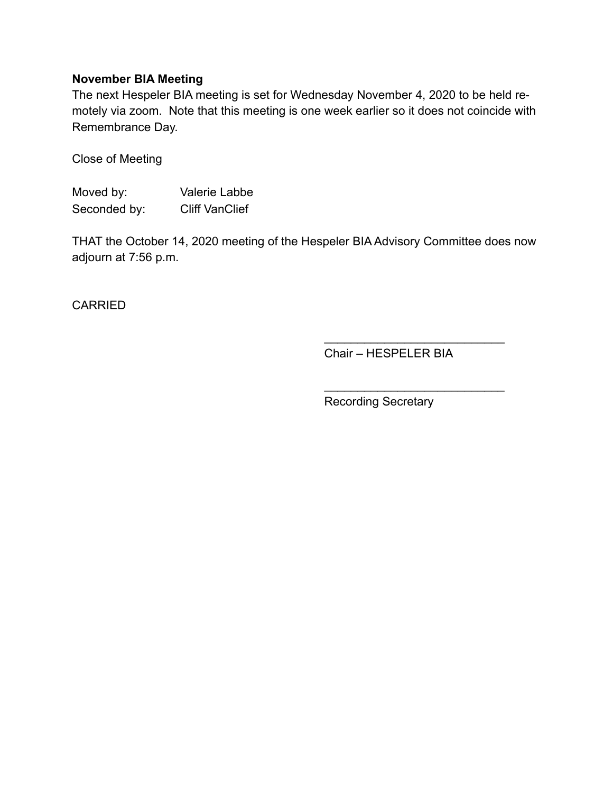# **November BIA Meeting**

The next Hespeler BIA meeting is set for Wednesday November 4, 2020 to be held remotely via zoom. Note that this meeting is one week earlier so it does not coincide with Remembrance Day.

Close of Meeting

Moved by: Valerie Labbe Seconded by: Cliff VanClief

THAT the October 14, 2020 meeting of the Hespeler BIA Advisory Committee does now adjourn at 7:56 p.m.

**CARRIED** 

Chair – HESPELER BIA

 $\frac{\partial u}{\partial x^2} = \frac{\partial u}{\partial y^2} + \frac{\partial u}{\partial z^2} + \frac{\partial u}{\partial z^2} + \frac{\partial u}{\partial z^2} + \frac{\partial u}{\partial z^2} + \frac{\partial u}{\partial z^2} + \frac{\partial u}{\partial z^2} + \frac{\partial u}{\partial z^2} + \frac{\partial u}{\partial z^2} + \frac{\partial u}{\partial z^2} + \frac{\partial u}{\partial z^2} + \frac{\partial u}{\partial z^2} + \frac{\partial u}{\partial z^2} + \frac{\partial u}{\partial z^2} + \frac{\partial u}{\partial z^2} + \frac{\partial u}{\partial z^2}$ 

 $\overline{\phantom{a}}$  , where  $\overline{\phantom{a}}$  , where  $\overline{\phantom{a}}$  , where  $\overline{\phantom{a}}$ 

Recording Secretary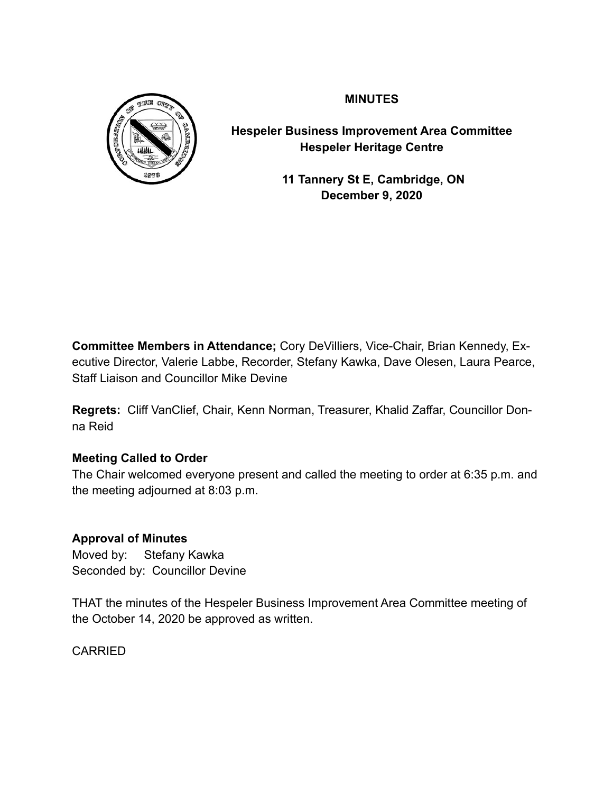

**MINUTES**

**Hespeler Business Improvement Area Committee Hespeler Heritage Centre**

> **11 Tannery St E, Cambridge, ON December 9, 2020**

**Committee Members in Attendance;** Cory DeVilliers, Vice-Chair, Brian Kennedy, Executive Director, Valerie Labbe, Recorder, Stefany Kawka, Dave Olesen, Laura Pearce, Staff Liaison and Councillor Mike Devine

**Regrets:** Cliff VanClief, Chair, Kenn Norman, Treasurer, Khalid Zaffar, Councillor Donna Reid

# **Meeting Called to Order**

The Chair welcomed everyone present and called the meeting to order at 6:35 p.m. and the meeting adjourned at 8:03 p.m.

# **Approval of Minutes**

Moved by: Stefany Kawka Seconded by: Councillor Devine

THAT the minutes of the Hespeler Business Improvement Area Committee meeting of the October 14, 2020 be approved as written.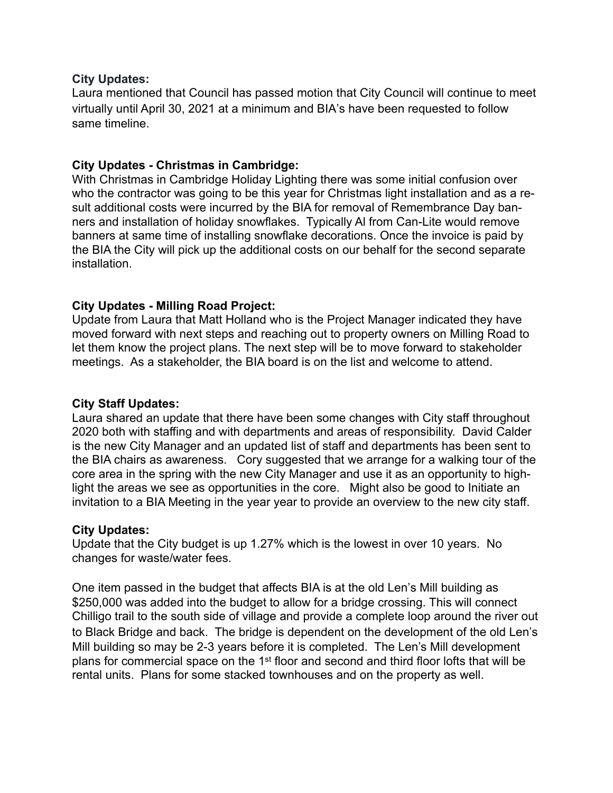#### **City Updates:**

Laura mentioned that Council has passed motion that City Council will continue to meet virtually until April 30, 2021 at a minimum and BIA's have been requested to follow same timeline.

## **City Updates - Christmas in Cambridge:**

With Christmas in Cambridge Holiday Lighting there was some initial confusion over who the contractor was going to be this year for Christmas light installation and as a result additional costs were incurred by the BIA for removal of Remembrance Day banners and installation of holiday snowflakes. Typically Al from Can-Lite would remove banners at same time of installing snowflake decorations. Once the invoice is paid by the BIA the City will pick up the additional costs on our behalf for the second separate installation.

## **City Updates - Milling Road Project:**

Update from Laura that Matt Holland who is the Project Manager indicated they have moved forward with next steps and reaching out to property owners on Milling Road to let them know the project plans. The next step will be to move forward to stakeholder meetings. As a stakeholder, the BIA board is on the list and welcome to attend.

### **City Staff Updates:**

Laura shared an update that there have been some changes with City staff throughout 2020 both with staffing and with departments and areas of responsibility. David Calder is the new City Manager and an updated list of staff and departments has been sent to the BIA chairs as awareness. Cory suggested that we arrange for a walking tour of the core area in the spring with the new City Manager and use it as an opportunity to highlight the areas we see as opportunities in the core. Might also be good to Initiate an invitation to a BIA Meeting in the year year to provide an overview to the new city staff.

### **City Updates:**

Update that the City budget is up 1.27% which is the lowest in over 10 years. No changes for waste/water fees.

One item passed in the budget that affects BIA is at the old Len's Mill building as \$250,000 was added into the budget to allow for a bridge crossing. This will connect Chilligo trail to the south side of village and provide a complete loop around the river out to Black Bridge and back. The bridge is dependent on the development of the old Len's Mill building so may be 2-3 years before it is completed. The Len's Mill development plans for commercial space on the 1st floor and second and third floor lofts that will be rental units. Plans for some stacked townhouses and on the property as well.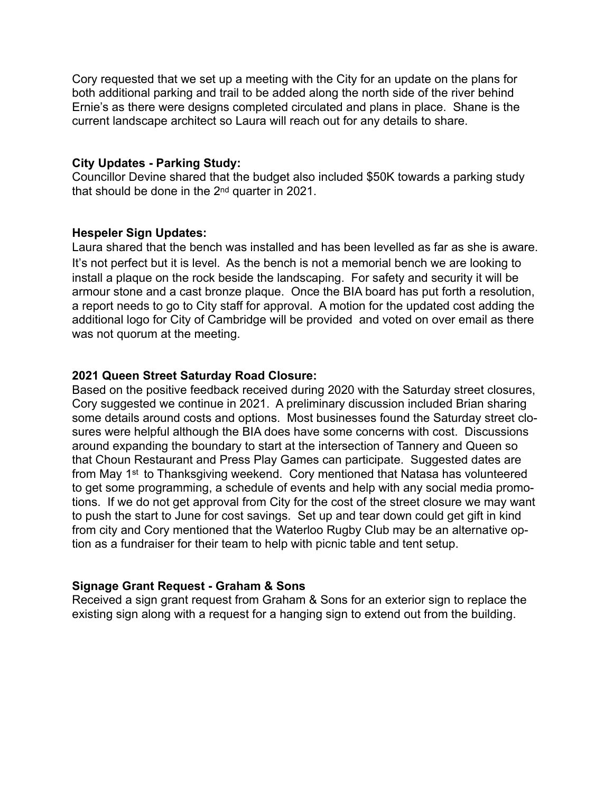Cory requested that we set up a meeting with the City for an update on the plans for both additional parking and trail to be added along the north side of the river behind Ernie's as there were designs completed circulated and plans in place. Shane is the current landscape architect so Laura will reach out for any details to share.

#### **City Updates - Parking Study:**

Councillor Devine shared that the budget also included \$50K towards a parking study that should be done in the 2nd quarter in 2021.

#### **Hespeler Sign Updates:**

Laura shared that the bench was installed and has been levelled as far as she is aware. It's not perfect but it is level. As the bench is not a memorial bench we are looking to install a plaque on the rock beside the landscaping. For safety and security it will be armour stone and a cast bronze plaque. Once the BIA board has put forth a resolution, a report needs to go to City staff for approval. A motion for the updated cost adding the additional logo for City of Cambridge will be provided and voted on over email as there was not quorum at the meeting.

### **2021 Queen Street Saturday Road Closure:**

Based on the positive feedback received during 2020 with the Saturday street closures, Cory suggested we continue in 2021. A preliminary discussion included Brian sharing some details around costs and options. Most businesses found the Saturday street closures were helpful although the BIA does have some concerns with cost. Discussions around expanding the boundary to start at the intersection of Tannery and Queen so that Choun Restaurant and Press Play Games can participate. Suggested dates are from May 1st to Thanksgiving weekend. Cory mentioned that Natasa has volunteered to get some programming, a schedule of events and help with any social media promotions. If we do not get approval from City for the cost of the street closure we may want to push the start to June for cost savings. Set up and tear down could get gift in kind from city and Cory mentioned that the Waterloo Rugby Club may be an alternative option as a fundraiser for their team to help with picnic table and tent setup.

### **Signage Grant Request - Graham & Sons**

Received a sign grant request from Graham & Sons for an exterior sign to replace the existing sign along with a request for a hanging sign to extend out from the building.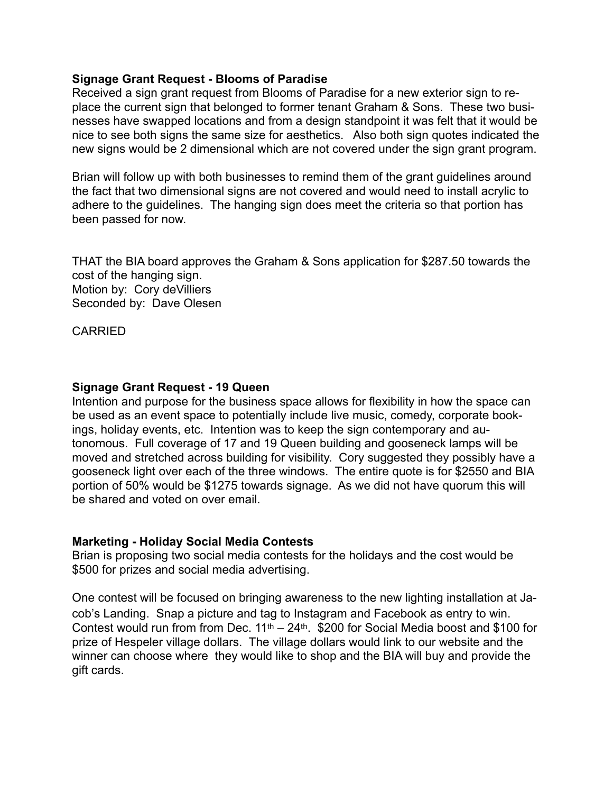#### **Signage Grant Request - Blooms of Paradise**

Received a sign grant request from Blooms of Paradise for a new exterior sign to replace the current sign that belonged to former tenant Graham & Sons. These two businesses have swapped locations and from a design standpoint it was felt that it would be nice to see both signs the same size for aesthetics. Also both sign quotes indicated the new signs would be 2 dimensional which are not covered under the sign grant program.

Brian will follow up with both businesses to remind them of the grant guidelines around the fact that two dimensional signs are not covered and would need to install acrylic to adhere to the guidelines. The hanging sign does meet the criteria so that portion has been passed for now.

THAT the BIA board approves the Graham & Sons application for \$287.50 towards the cost of the hanging sign. Motion by: Cory deVilliers Seconded by: Dave Olesen

**CARRIED** 

### **Signage Grant Request - 19 Queen**

Intention and purpose for the business space allows for flexibility in how the space can be used as an event space to potentially include live music, comedy, corporate bookings, holiday events, etc. Intention was to keep the sign contemporary and autonomous. Full coverage of 17 and 19 Queen building and gooseneck lamps will be moved and stretched across building for visibility. Cory suggested they possibly have a gooseneck light over each of the three windows. The entire quote is for \$2550 and BIA portion of 50% would be \$1275 towards signage. As we did not have quorum this will be shared and voted on over email.

#### **Marketing - Holiday Social Media Contests**

Brian is proposing two social media contests for the holidays and the cost would be \$500 for prizes and social media advertising.

One contest will be focused on bringing awareness to the new lighting installation at Jacob's Landing. Snap a picture and tag to Instagram and Facebook as entry to win. Contest would run from from Dec.  $11<sup>th</sup> - 24<sup>th</sup>$ . \$200 for Social Media boost and \$100 for prize of Hespeler village dollars. The village dollars would link to our website and the winner can choose where they would like to shop and the BIA will buy and provide the gift cards.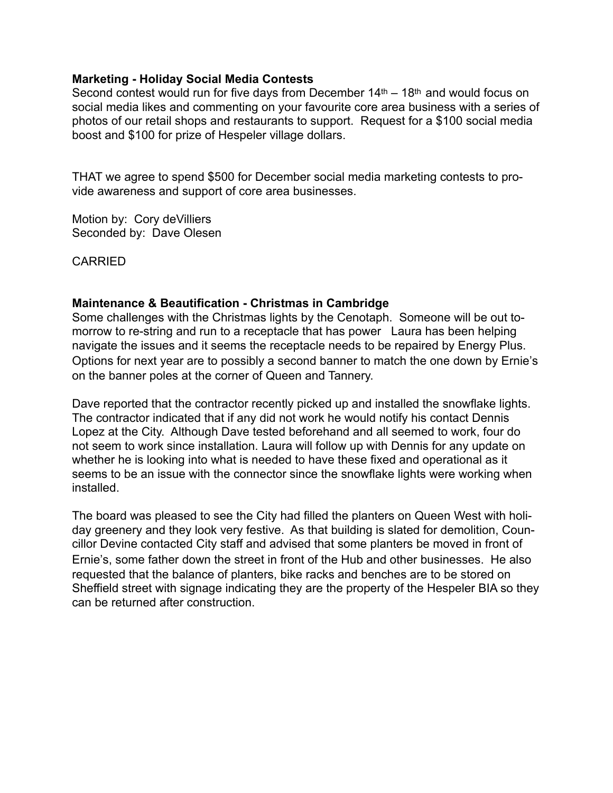#### **Marketing - Holiday Social Media Contests**

Second contest would run for five days from December  $14<sup>th</sup> - 18<sup>th</sup>$  and would focus on social media likes and commenting on your favourite core area business with a series of photos of our retail shops and restaurants to support. Request for a \$100 social media boost and \$100 for prize of Hespeler village dollars.

THAT we agree to spend \$500 for December social media marketing contests to provide awareness and support of core area businesses.

Motion by: Cory deVilliers Seconded by: Dave Olesen

CARRIED

### **Maintenance & Beautification - Christmas in Cambridge**

Some challenges with the Christmas lights by the Cenotaph. Someone will be out tomorrow to re-string and run to a receptacle that has power Laura has been helping navigate the issues and it seems the receptacle needs to be repaired by Energy Plus. Options for next year are to possibly a second banner to match the one down by Ernie's on the banner poles at the corner of Queen and Tannery.

Dave reported that the contractor recently picked up and installed the snowflake lights. The contractor indicated that if any did not work he would notify his contact Dennis Lopez at the City. Although Dave tested beforehand and all seemed to work, four do not seem to work since installation. Laura will follow up with Dennis for any update on whether he is looking into what is needed to have these fixed and operational as it seems to be an issue with the connector since the snowflake lights were working when installed.

The board was pleased to see the City had filled the planters on Queen West with holiday greenery and they look very festive. As that building is slated for demolition, Councillor Devine contacted City staff and advised that some planters be moved in front of Ernie's, some father down the street in front of the Hub and other businesses. He also requested that the balance of planters, bike racks and benches are to be stored on Sheffield street with signage indicating they are the property of the Hespeler BIA so they can be returned after construction.